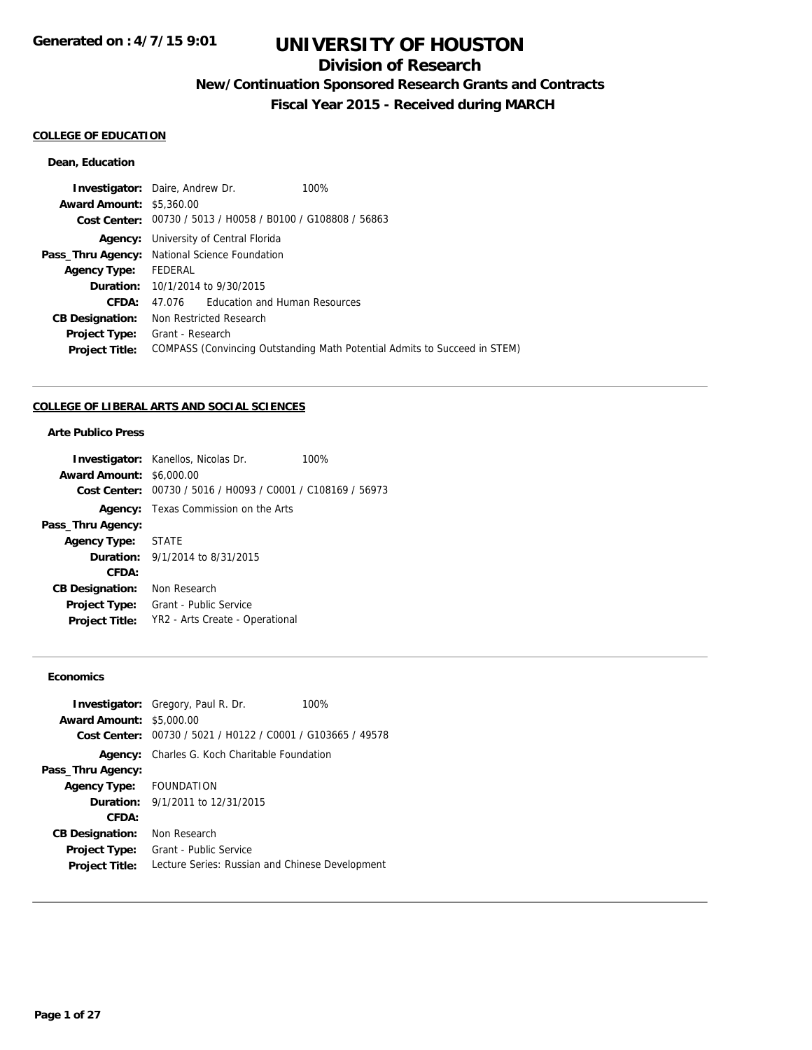## **Division of Research**

**New/Continuation Sponsored Research Grants and Contracts**

**Fiscal Year 2015 - Received during MARCH**

## **COLLEGE OF EDUCATION**

### **Dean, Education**

| <b>Investigator:</b> Daire, Andrew Dr.               |                  |                                                             | 100%                                                                      |
|------------------------------------------------------|------------------|-------------------------------------------------------------|---------------------------------------------------------------------------|
| <b>Award Amount: \$5,360.00</b>                      |                  |                                                             |                                                                           |
|                                                      |                  | Cost Center: 00730 / 5013 / H0058 / B0100 / G108808 / 56863 |                                                                           |
| Agency:                                              |                  | University of Central Florida                               |                                                                           |
| <b>Pass_Thru Agency:</b> National Science Foundation |                  |                                                             |                                                                           |
| <b>Agency Type:</b>                                  | FEDERAL          |                                                             |                                                                           |
|                                                      |                  | <b>Duration:</b> 10/1/2014 to 9/30/2015                     |                                                                           |
| CFDA:                                                | 47.076           | Education and Human Resources                               |                                                                           |
| <b>CB Designation:</b>                               |                  | Non Restricted Research                                     |                                                                           |
| <b>Project Type:</b>                                 | Grant - Research |                                                             |                                                                           |
| <b>Project Title:</b>                                |                  |                                                             | COMPASS (Convincing Outstanding Math Potential Admits to Succeed in STEM) |
|                                                      |                  |                                                             |                                                                           |

### **COLLEGE OF LIBERAL ARTS AND SOCIAL SCIENCES**

## **Arte Publico Press**

|                                 | <b>Investigator:</b> Kanellos, Nicolas Dr.                  | 100% |
|---------------------------------|-------------------------------------------------------------|------|
| <b>Award Amount: \$6,000.00</b> |                                                             |      |
|                                 | Cost Center: 00730 / 5016 / H0093 / C0001 / C108169 / 56973 |      |
|                                 | <b>Agency:</b> Texas Commission on the Arts                 |      |
| Pass_Thru Agency:               |                                                             |      |
| Agency Type: STATE              |                                                             |      |
|                                 | <b>Duration:</b> $9/1/2014$ to $8/31/2015$                  |      |
| CFDA:                           |                                                             |      |
| <b>CB Designation:</b>          | Non Research                                                |      |
| <b>Project Type:</b>            | Grant - Public Service                                      |      |
| <b>Project Title:</b>           | YR2 - Arts Create - Operational                             |      |
|                                 |                                                             |      |

### **Economics**

| <b>Award Amount: \$5,000.00</b> | <b>Investigator:</b> Gregory, Paul R. Dr.<br>Cost Center: 00730 / 5021 / H0122 / C0001 / G103665 / 49578 | 100% |
|---------------------------------|----------------------------------------------------------------------------------------------------------|------|
| Agency:                         | Charles G. Koch Charitable Foundation                                                                    |      |
| Pass_Thru Agency:               |                                                                                                          |      |
| Agency Type: FOUNDATION         |                                                                                                          |      |
|                                 | <b>Duration:</b> $9/1/2011$ to $12/31/2015$                                                              |      |
| CFDA:                           |                                                                                                          |      |
| <b>CB Designation:</b>          | Non Research                                                                                             |      |
| <b>Project Type:</b>            | Grant - Public Service                                                                                   |      |
| <b>Project Title:</b>           | Lecture Series: Russian and Chinese Development                                                          |      |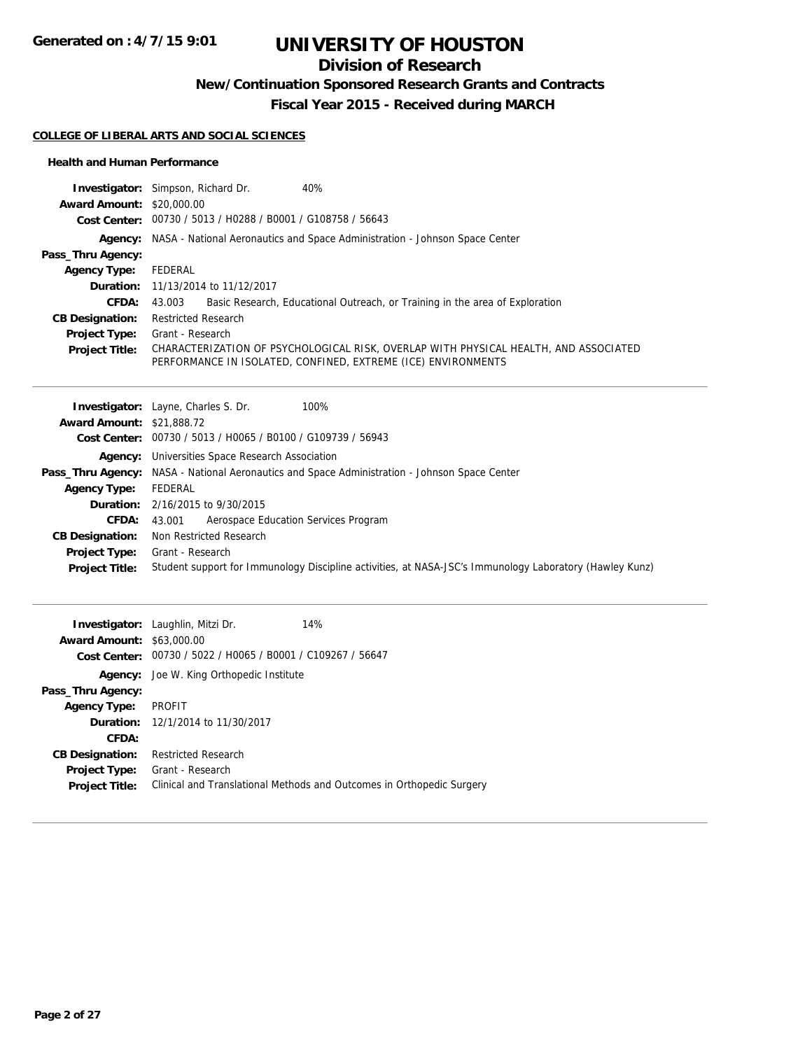**Generated on : 4/7/15 9:01**

# **UNIVERSITY OF HOUSTON**

## **Division of Research**

**New/Continuation Sponsored Research Grants and Contracts**

**Fiscal Year 2015 - Received during MARCH**

#### **COLLEGE OF LIBERAL ARTS AND SOCIAL SCIENCES**

#### **Health and Human Performance**

|                                  | <b>Investigator:</b> Simpson, Richard Dr.<br>40%                                                                                                      |
|----------------------------------|-------------------------------------------------------------------------------------------------------------------------------------------------------|
| <b>Award Amount: \$20,000.00</b> |                                                                                                                                                       |
|                                  | Cost Center: 00730 / 5013 / H0288 / B0001 / G108758 / 56643                                                                                           |
|                                  | Agency: NASA - National Aeronautics and Space Administration - Johnson Space Center                                                                   |
| Pass_Thru Agency:                |                                                                                                                                                       |
| <b>Agency Type:</b>              | FEDERAL                                                                                                                                               |
|                                  | <b>Duration:</b> 11/13/2014 to 11/12/2017                                                                                                             |
| <b>CFDA:</b>                     | Basic Research, Educational Outreach, or Training in the area of Exploration<br>43.003                                                                |
| <b>CB Designation:</b>           | <b>Restricted Research</b>                                                                                                                            |
| Project Type:                    | Grant - Research                                                                                                                                      |
| <b>Project Title:</b>            | CHARACTERIZATION OF PSYCHOLOGICAL RISK, OVERLAP WITH PHYSICAL HEALTH, AND ASSOCIATED<br>PERFORMANCE IN ISOLATED, CONFINED, EXTREME (ICE) ENVIRONMENTS |

| <b>Award Amount: \$21,888.72</b><br>Cost Center: 00730 / 5013 / H0065 / B0100 / G109739 / 56943<br><b>Agency:</b> Universities Space Research Association<br><b>Pass_Thru Agency:</b> NASA - National Aeronautics and Space Administration - Johnson Space Center<br>FEDERAL<br><b>Agency Type:</b><br><b>Duration:</b> $2/16/2015$ to $9/30/2015$<br>Aerospace Education Services Program<br><b>CFDA:</b><br>43.001<br>Non Restricted Research<br><b>CB Designation:</b><br>Grant - Research<br><b>Project Type:</b><br>Student support for Immunology Discipline activities, at NASA-JSC's Immunology Laboratory (Hawley Kunz)<br><b>Project Title:</b> | 100%<br><b>Investigator:</b> Layne, Charles S. Dr. |
|-----------------------------------------------------------------------------------------------------------------------------------------------------------------------------------------------------------------------------------------------------------------------------------------------------------------------------------------------------------------------------------------------------------------------------------------------------------------------------------------------------------------------------------------------------------------------------------------------------------------------------------------------------------|----------------------------------------------------|
|                                                                                                                                                                                                                                                                                                                                                                                                                                                                                                                                                                                                                                                           |                                                    |
|                                                                                                                                                                                                                                                                                                                                                                                                                                                                                                                                                                                                                                                           |                                                    |
|                                                                                                                                                                                                                                                                                                                                                                                                                                                                                                                                                                                                                                                           |                                                    |
|                                                                                                                                                                                                                                                                                                                                                                                                                                                                                                                                                                                                                                                           |                                                    |
|                                                                                                                                                                                                                                                                                                                                                                                                                                                                                                                                                                                                                                                           |                                                    |
|                                                                                                                                                                                                                                                                                                                                                                                                                                                                                                                                                                                                                                                           |                                                    |
|                                                                                                                                                                                                                                                                                                                                                                                                                                                                                                                                                                                                                                                           |                                                    |
|                                                                                                                                                                                                                                                                                                                                                                                                                                                                                                                                                                                                                                                           |                                                    |
|                                                                                                                                                                                                                                                                                                                                                                                                                                                                                                                                                                                                                                                           |                                                    |
|                                                                                                                                                                                                                                                                                                                                                                                                                                                                                                                                                                                                                                                           |                                                    |

| <b>Award Amount: \$63,000.00</b> | <b>Investigator:</b> Laughlin, Mitzi Dr.<br>Cost Center: 00730 / 5022 / H0065 / B0001 / C109267 / 56647 | 14%                                                                   |
|----------------------------------|---------------------------------------------------------------------------------------------------------|-----------------------------------------------------------------------|
|                                  | <b>Agency:</b> Joe W. King Orthopedic Institute                                                         |                                                                       |
| Pass_Thru Agency:                |                                                                                                         |                                                                       |
| <b>Agency Type:</b>              | PROFIT                                                                                                  |                                                                       |
|                                  | <b>Duration:</b> 12/1/2014 to 11/30/2017                                                                |                                                                       |
| CFDA:                            |                                                                                                         |                                                                       |
| <b>CB Designation:</b>           | <b>Restricted Research</b>                                                                              |                                                                       |
| <b>Project Type:</b>             | Grant - Research                                                                                        |                                                                       |
| <b>Project Title:</b>            |                                                                                                         | Clinical and Translational Methods and Outcomes in Orthopedic Surgery |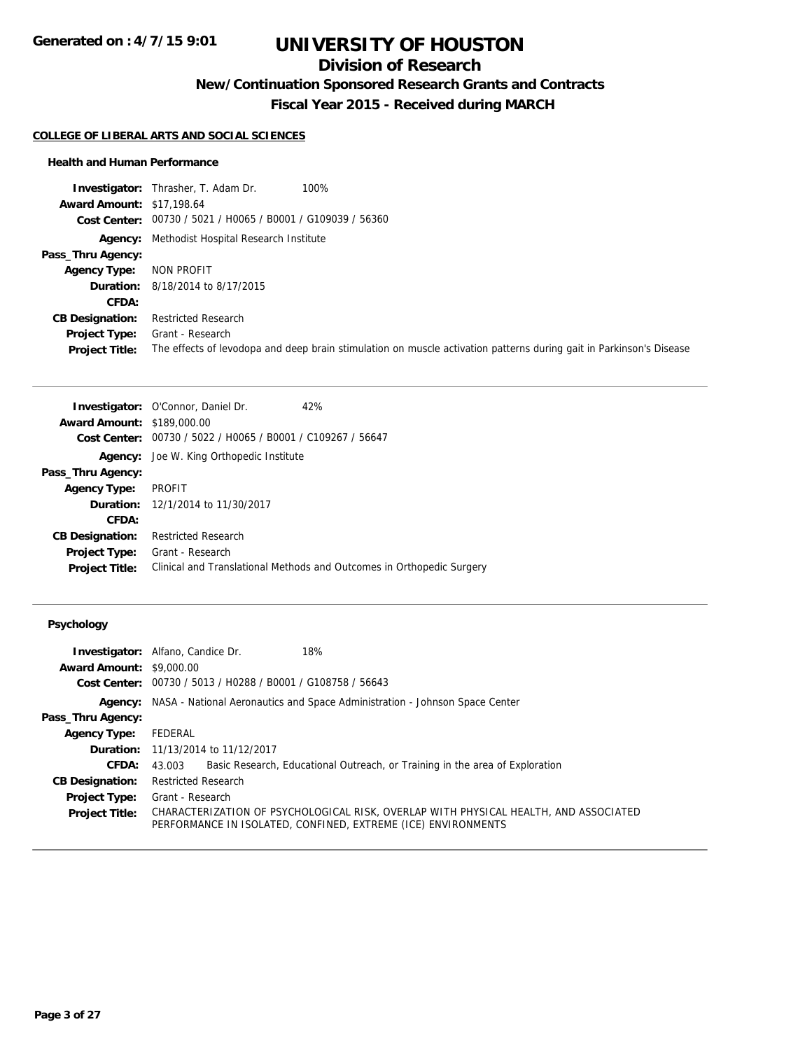## **Division of Research**

**New/Continuation Sponsored Research Grants and Contracts**

**Fiscal Year 2015 - Received during MARCH**

#### **COLLEGE OF LIBERAL ARTS AND SOCIAL SCIENCES**

#### **Health and Human Performance**

|                                  | 100%<br><b>Investigator:</b> Thrasher, T. Adam Dr.                                                                  |
|----------------------------------|---------------------------------------------------------------------------------------------------------------------|
| <b>Award Amount: \$17,198.64</b> |                                                                                                                     |
|                                  | Cost Center: 00730 / 5021 / H0065 / B0001 / G109039 / 56360                                                         |
|                                  | <b>Agency:</b> Methodist Hospital Research Institute                                                                |
| Pass_Thru Agency:                |                                                                                                                     |
| <b>Agency Type:</b>              | NON PROFIT                                                                                                          |
|                                  | <b>Duration:</b> 8/18/2014 to 8/17/2015                                                                             |
| CFDA:                            |                                                                                                                     |
| <b>CB Designation:</b>           | <b>Restricted Research</b>                                                                                          |
| Project Type:                    | Grant - Research                                                                                                    |
| <b>Project Title:</b>            | The effects of levodopa and deep brain stimulation on muscle activation patterns during gait in Parkinson's Disease |

|                                   | <b>Investigator:</b> O'Connor, Daniel Dr.                   | 42%                                                                   |
|-----------------------------------|-------------------------------------------------------------|-----------------------------------------------------------------------|
| <b>Award Amount: \$189,000.00</b> |                                                             |                                                                       |
|                                   | Cost Center: 00730 / 5022 / H0065 / B0001 / C109267 / 56647 |                                                                       |
|                                   | <b>Agency:</b> Joe W. King Orthopedic Institute             |                                                                       |
| Pass_Thru Agency:                 |                                                             |                                                                       |
| <b>Agency Type:</b>               | <b>PROFIT</b>                                               |                                                                       |
|                                   | <b>Duration:</b> 12/1/2014 to 11/30/2017                    |                                                                       |
| CFDA:                             |                                                             |                                                                       |
| <b>CB Designation:</b>            | <b>Restricted Research</b>                                  |                                                                       |
| <b>Project Type:</b>              | Grant - Research                                            |                                                                       |
| <b>Project Title:</b>             |                                                             | Clinical and Translational Methods and Outcomes in Orthopedic Surgery |

### **Psychology**

|                                 | 18%<br><b>Investigator:</b> Alfano, Candice Dr.                                                                                                       |
|---------------------------------|-------------------------------------------------------------------------------------------------------------------------------------------------------|
| <b>Award Amount: \$9,000.00</b> |                                                                                                                                                       |
|                                 | Cost Center: 00730 / 5013 / H0288 / B0001 / G108758 / 56643                                                                                           |
|                                 | <b>Agency:</b> NASA - National Aeronautics and Space Administration - Johnson Space Center                                                            |
| Pass_Thru Agency:               |                                                                                                                                                       |
| <b>Agency Type:</b>             | FEDERAL                                                                                                                                               |
|                                 | <b>Duration:</b> 11/13/2014 to 11/12/2017                                                                                                             |
| <b>CFDA:</b>                    | Basic Research, Educational Outreach, or Training in the area of Exploration<br>43.003                                                                |
| <b>CB Designation:</b>          | <b>Restricted Research</b>                                                                                                                            |
| <b>Project Type:</b>            | Grant - Research                                                                                                                                      |
| <b>Project Title:</b>           | CHARACTERIZATION OF PSYCHOLOGICAL RISK. OVERLAP WITH PHYSICAL HEALTH. AND ASSOCIATED<br>PERFORMANCE IN ISOLATED, CONFINED, EXTREME (ICE) ENVIRONMENTS |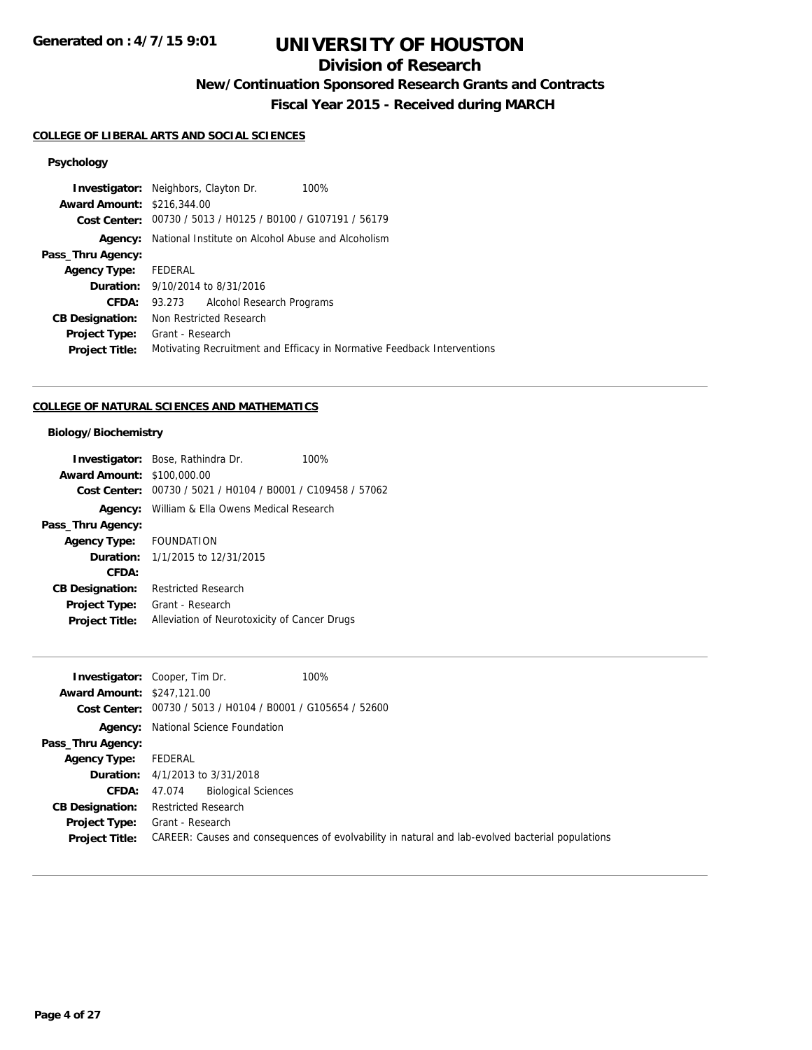## **Division of Research**

**New/Continuation Sponsored Research Grants and Contracts**

**Fiscal Year 2015 - Received during MARCH**

#### **COLLEGE OF LIBERAL ARTS AND SOCIAL SCIENCES**

## **Psychology**

|                                   | <b>Investigator:</b> Neighbors, Clayton Dr.<br>100%                     |
|-----------------------------------|-------------------------------------------------------------------------|
| <b>Award Amount: \$216,344.00</b> |                                                                         |
|                                   | Cost Center: 00730 / 5013 / H0125 / B0100 / G107191 / 56179             |
|                                   | <b>Agency:</b> National Institute on Alcohol Abuse and Alcoholism       |
| Pass_Thru Agency:                 |                                                                         |
| <b>Agency Type:</b>               | FEDERAL                                                                 |
|                                   | <b>Duration:</b> 9/10/2014 to 8/31/2016                                 |
| <b>CFDA:</b>                      | 93.273 Alcohol Research Programs                                        |
| <b>CB Designation:</b>            | Non Restricted Research                                                 |
| <b>Project Type:</b>              | Grant - Research                                                        |
| <b>Project Title:</b>             | Motivating Recruitment and Efficacy in Normative Feedback Interventions |
|                                   |                                                                         |

### **COLLEGE OF NATURAL SCIENCES AND MATHEMATICS**

### **Biology/Biochemistry**

|                                   | <b>Investigator:</b> Bose, Rathindra Dr.                    | 100% |
|-----------------------------------|-------------------------------------------------------------|------|
| <b>Award Amount: \$100,000.00</b> |                                                             |      |
|                                   | Cost Center: 00730 / 5021 / H0104 / B0001 / C109458 / 57062 |      |
|                                   | <b>Agency:</b> William & Ella Owens Medical Research        |      |
| Pass_Thru Agency:                 |                                                             |      |
| Agency Type: FOUNDATION           |                                                             |      |
|                                   | <b>Duration:</b> $1/1/2015$ to $12/31/2015$                 |      |
| CFDA:                             |                                                             |      |
| <b>CB Designation:</b>            | <b>Restricted Research</b>                                  |      |
| Project Type:                     | Grant - Research                                            |      |
| <b>Project Title:</b>             | Alleviation of Neurotoxicity of Cancer Drugs                |      |

| <b>Award Amount: \$247,121.00</b>             | 100%<br><b>Investigator:</b> Cooper, Tim Dr.<br>Cost Center: 00730 / 5013 / H0104 / B0001 / G105654 / 52600          |
|-----------------------------------------------|----------------------------------------------------------------------------------------------------------------------|
|                                               | <b>Agency:</b> National Science Foundation                                                                           |
| Pass_Thru Agency:                             |                                                                                                                      |
| <b>Agency Type:</b>                           | FEDERAL                                                                                                              |
|                                               | <b>Duration:</b> 4/1/2013 to 3/31/2018                                                                               |
| <b>CFDA: 47.074</b>                           | <b>Biological Sciences</b>                                                                                           |
| <b>CB Designation:</b>                        | <b>Restricted Research</b>                                                                                           |
| <b>Project Type:</b><br><b>Project Title:</b> | Grant - Research<br>CAREER: Causes and consequences of evolvability in natural and lab-evolved bacterial populations |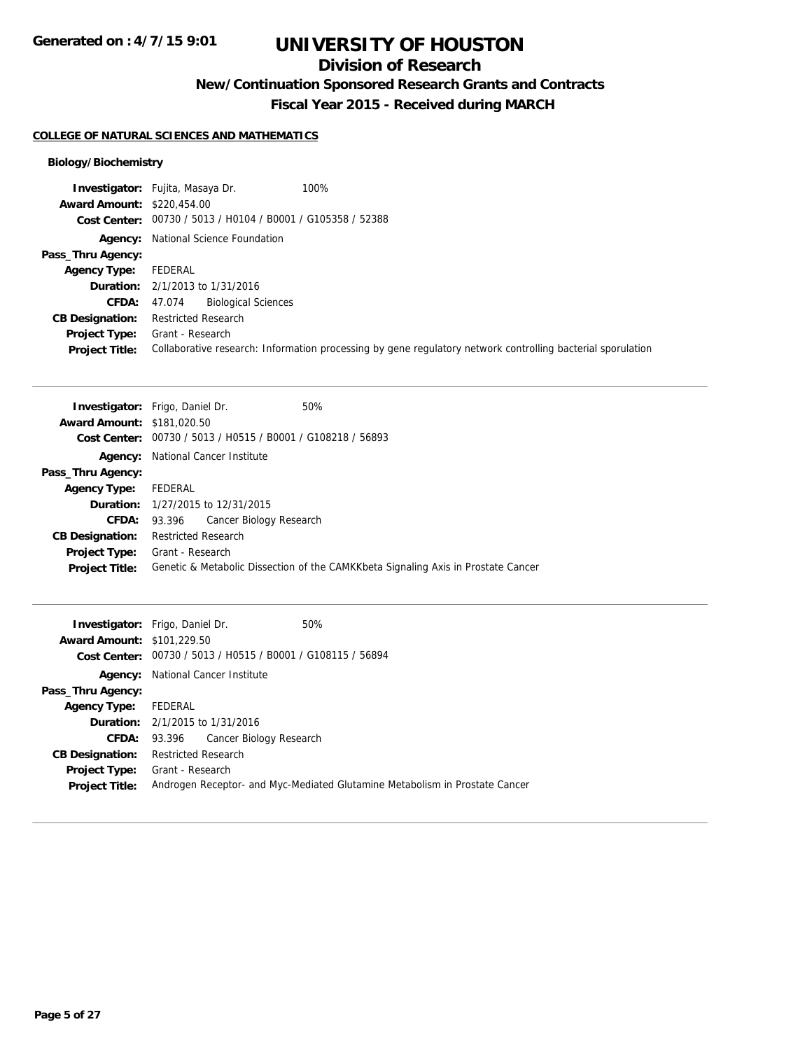## **Division of Research**

**New/Continuation Sponsored Research Grants and Contracts**

**Fiscal Year 2015 - Received during MARCH**

#### **COLLEGE OF NATURAL SCIENCES AND MATHEMATICS**

### **Biology/Biochemistry**

|                                   | <b>Investigator:</b> Fujita, Masaya Dr.<br>100%                                                             |
|-----------------------------------|-------------------------------------------------------------------------------------------------------------|
| <b>Award Amount: \$220,454.00</b> |                                                                                                             |
|                                   | Cost Center: 00730 / 5013 / H0104 / B0001 / G105358 / 52388                                                 |
|                                   | <b>Agency:</b> National Science Foundation                                                                  |
| Pass_Thru Agency:                 |                                                                                                             |
| <b>Agency Type:</b>               | FEDERAL                                                                                                     |
|                                   | <b>Duration:</b> $2/1/2013$ to $1/31/2016$                                                                  |
|                                   | <b>CFDA:</b> 47.074 Biological Sciences                                                                     |
| <b>CB Designation:</b>            | <b>Restricted Research</b>                                                                                  |
| <b>Project Type:</b>              | Grant - Research                                                                                            |
| <b>Project Title:</b>             | Collaborative research: Information processing by gene regulatory network controlling bacterial sporulation |

|                                   | <b>Investigator:</b> Frigo, Daniel Dr.                      | 50%                                                                               |
|-----------------------------------|-------------------------------------------------------------|-----------------------------------------------------------------------------------|
| <b>Award Amount: \$181,020.50</b> |                                                             |                                                                                   |
|                                   | Cost Center: 00730 / 5013 / H0515 / B0001 / G108218 / 56893 |                                                                                   |
|                                   | <b>Agency:</b> National Cancer Institute                    |                                                                                   |
| Pass_Thru Agency:                 |                                                             |                                                                                   |
| <b>Agency Type:</b>               | FEDERAL                                                     |                                                                                   |
|                                   | <b>Duration:</b> 1/27/2015 to 12/31/2015                    |                                                                                   |
| <b>CFDA:</b>                      | Cancer Biology Research<br>93.396                           |                                                                                   |
| <b>CB Designation:</b>            | <b>Restricted Research</b>                                  |                                                                                   |
| <b>Project Type:</b>              | Grant - Research                                            |                                                                                   |
| <b>Project Title:</b>             |                                                             | Genetic & Metabolic Dissection of the CAMKKbeta Signaling Axis in Prostate Cancer |

|                                   | <b>Investigator:</b> Frigo, Daniel Dr.                      | 50%                                                                         |
|-----------------------------------|-------------------------------------------------------------|-----------------------------------------------------------------------------|
| <b>Award Amount: \$101,229.50</b> |                                                             |                                                                             |
|                                   | Cost Center: 00730 / 5013 / H0515 / B0001 / G108115 / 56894 |                                                                             |
|                                   | <b>Agency:</b> National Cancer Institute                    |                                                                             |
| Pass_Thru Agency:                 |                                                             |                                                                             |
| Agency Type: FEDERAL              |                                                             |                                                                             |
|                                   | <b>Duration:</b> 2/1/2015 to 1/31/2016                      |                                                                             |
|                                   | <b>CFDA:</b> 93.396 Cancer Biology Research                 |                                                                             |
| <b>CB Designation:</b>            | Restricted Research                                         |                                                                             |
|                                   | <b>Project Type:</b> Grant - Research                       |                                                                             |
| <b>Project Title:</b>             |                                                             | Androgen Receptor- and Myc-Mediated Glutamine Metabolism in Prostate Cancer |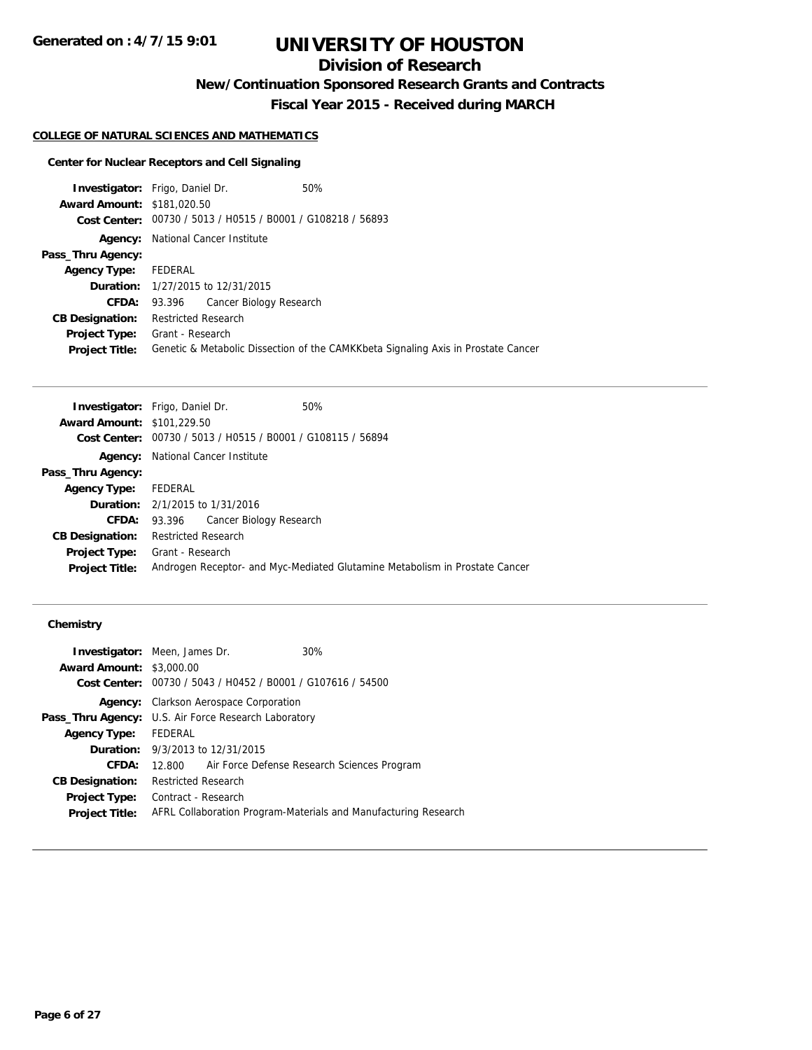## **Division of Research**

**New/Continuation Sponsored Research Grants and Contracts**

**Fiscal Year 2015 - Received during MARCH**

## **COLLEGE OF NATURAL SCIENCES AND MATHEMATICS**

### **Center for Nuclear Receptors and Cell Signaling**

| <b>Investigator:</b> Frigo, Daniel Dr. |                            |                                                             | 50%                                                                               |
|----------------------------------------|----------------------------|-------------------------------------------------------------|-----------------------------------------------------------------------------------|
| <b>Award Amount: \$181,020.50</b>      |                            |                                                             |                                                                                   |
|                                        |                            | Cost Center: 00730 / 5013 / H0515 / B0001 / G108218 / 56893 |                                                                                   |
| Agency:                                |                            | National Cancer Institute                                   |                                                                                   |
| Pass_Thru Agency:                      |                            |                                                             |                                                                                   |
| <b>Agency Type:</b>                    | FEDERAL                    |                                                             |                                                                                   |
|                                        |                            | <b>Duration:</b> 1/27/2015 to 12/31/2015                    |                                                                                   |
| <b>CFDA:</b>                           |                            | 93.396 Cancer Biology Research                              |                                                                                   |
| <b>CB Designation:</b>                 | <b>Restricted Research</b> |                                                             |                                                                                   |
| <b>Project Type:</b>                   | Grant - Research           |                                                             |                                                                                   |
| <b>Project Title:</b>                  |                            |                                                             | Genetic & Metabolic Dissection of the CAMKKbeta Signaling Axis in Prostate Cancer |

| <b>Investigator:</b> Frigo, Daniel Dr. |                     |                                                             | 50%                                                                         |
|----------------------------------------|---------------------|-------------------------------------------------------------|-----------------------------------------------------------------------------|
| <b>Award Amount: \$101,229.50</b>      |                     |                                                             |                                                                             |
|                                        |                     | Cost Center: 00730 / 5013 / H0515 / B0001 / G108115 / 56894 |                                                                             |
|                                        |                     | <b>Agency:</b> National Cancer Institute                    |                                                                             |
| Pass_Thru Agency:                      |                     |                                                             |                                                                             |
| <b>Agency Type:</b>                    | FEDERAL             |                                                             |                                                                             |
| <b>Duration:</b> 2/1/2015 to 1/31/2016 |                     |                                                             |                                                                             |
|                                        |                     | <b>CFDA:</b> 93.396 Cancer Biology Research                 |                                                                             |
| <b>CB Designation:</b>                 | Restricted Research |                                                             |                                                                             |
| <b>Project Type:</b>                   | Grant - Research    |                                                             |                                                                             |
| <b>Project Title:</b>                  |                     |                                                             | Androgen Receptor- and Myc-Mediated Glutamine Metabolism in Prostate Cancer |
|                                        |                     |                                                             |                                                                             |

### **Chemistry**

|                                 | <b>Investigator:</b> Meen, James Dr.                        | 30%                                                             |
|---------------------------------|-------------------------------------------------------------|-----------------------------------------------------------------|
| <b>Award Amount: \$3,000.00</b> |                                                             |                                                                 |
|                                 |                                                             | Cost Center: 00730 / 5043 / H0452 / B0001 / G107616 / 54500     |
| Agency:                         | <b>Clarkson Aerospace Corporation</b>                       |                                                                 |
|                                 | <b>Pass_Thru Agency:</b> U.S. Air Force Research Laboratory |                                                                 |
| <b>Agency Type:</b>             | FEDERAL                                                     |                                                                 |
|                                 | <b>Duration:</b> 9/3/2013 to 12/31/2015                     |                                                                 |
| CFDA:                           | 12.800                                                      | Air Force Defense Research Sciences Program                     |
| <b>CB Designation:</b>          | <b>Restricted Research</b>                                  |                                                                 |
| <b>Project Type:</b>            | Contract - Research                                         |                                                                 |
| <b>Project Title:</b>           |                                                             | AFRL Collaboration Program-Materials and Manufacturing Research |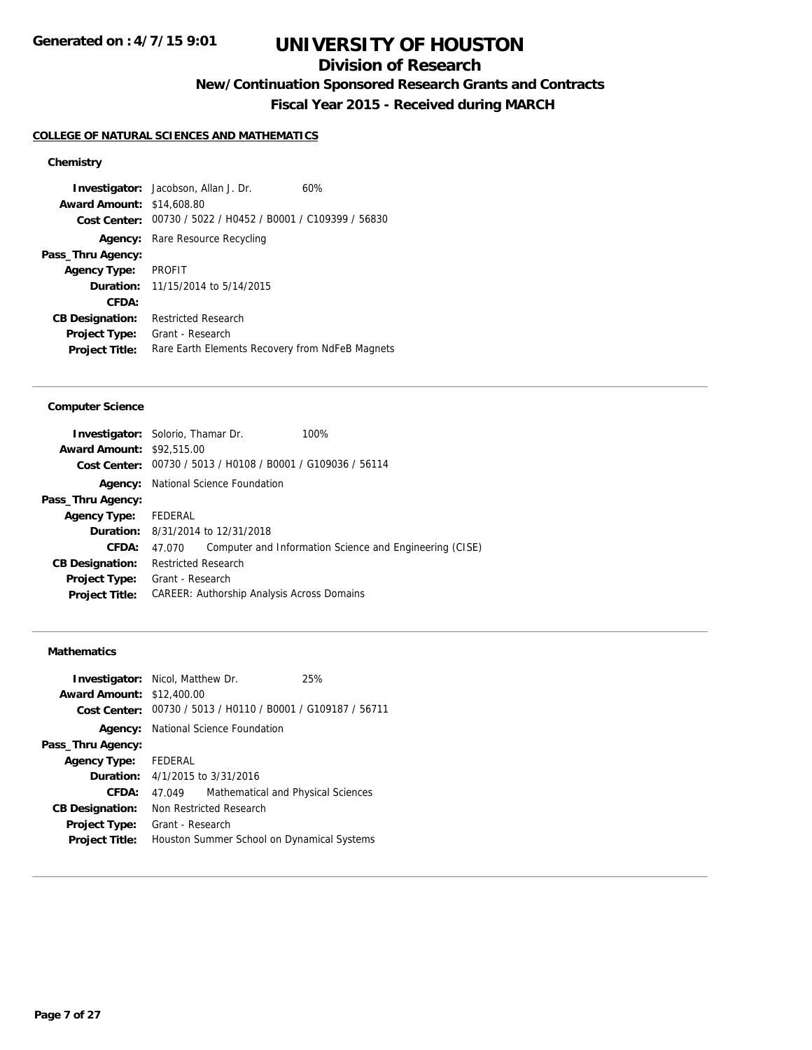## **Division of Research**

**New/Continuation Sponsored Research Grants and Contracts**

**Fiscal Year 2015 - Received during MARCH**

#### **COLLEGE OF NATURAL SCIENCES AND MATHEMATICS**

## **Chemistry**

**Investigator:** Jacobson, Allan J. Dr. 60% **Award Amount:** \$14,608.80 **Cost Center:** 00730 / 5022 / H0452 / B0001 / C109399 / 56830 **Agency:** Rare Resource Recycling **Pass\_Thru Agency: Agency Type:** PROFIT **Duration:** 11/15/2014 to 5/14/2015 **CFDA: CB Designation:** Restricted Research **Project Type:** Grant - Research Project Title: Rare Earth Elements Recovery from NdFeB Magnets

#### **Computer Science**

| <b>Investigator:</b> Solorio, Thamar Dr. |                            |                                                             | 100%                                                    |
|------------------------------------------|----------------------------|-------------------------------------------------------------|---------------------------------------------------------|
| <b>Award Amount: \$92,515.00</b>         |                            |                                                             |                                                         |
|                                          |                            | Cost Center: 00730 / 5013 / H0108 / B0001 / G109036 / 56114 |                                                         |
|                                          |                            | <b>Agency:</b> National Science Foundation                  |                                                         |
| Pass_Thru Agency:                        |                            |                                                             |                                                         |
| <b>Agency Type:</b>                      | FEDERAL                    |                                                             |                                                         |
|                                          |                            | <b>Duration:</b> 8/31/2014 to 12/31/2018                    |                                                         |
| CFDA:                                    | 47.070                     |                                                             | Computer and Information Science and Engineering (CISE) |
| <b>CB Designation:</b>                   | <b>Restricted Research</b> |                                                             |                                                         |
| Project Type:                            | Grant - Research           |                                                             |                                                         |
| <b>Project Title:</b>                    |                            | CAREER: Authorship Analysis Across Domains                  |                                                         |
|                                          |                            |                                                             |                                                         |

#### **Mathematics**

| <b>Investigator:</b> Nicol, Matthew Dr.<br><b>Award Amount:</b> | \$12,400.00                                |                                                             | 25% |
|-----------------------------------------------------------------|--------------------------------------------|-------------------------------------------------------------|-----|
|                                                                 |                                            | Cost Center: 00730 / 5013 / H0110 / B0001 / G109187 / 56711 |     |
|                                                                 | <b>Agency:</b> National Science Foundation |                                                             |     |
| Pass_Thru Agency:                                               |                                            |                                                             |     |
| <b>Agency Type:</b> FEDERAL                                     |                                            |                                                             |     |
|                                                                 | <b>Duration:</b> $4/1/2015$ to $3/31/2016$ |                                                             |     |
| CFDA:                                                           | 47.049                                     | Mathematical and Physical Sciences                          |     |
| <b>CB Designation:</b>                                          | Non Restricted Research                    |                                                             |     |
| <b>Project Type:</b>                                            | Grant - Research                           |                                                             |     |
| <b>Project Title:</b>                                           | Houston Summer School on Dynamical Systems |                                                             |     |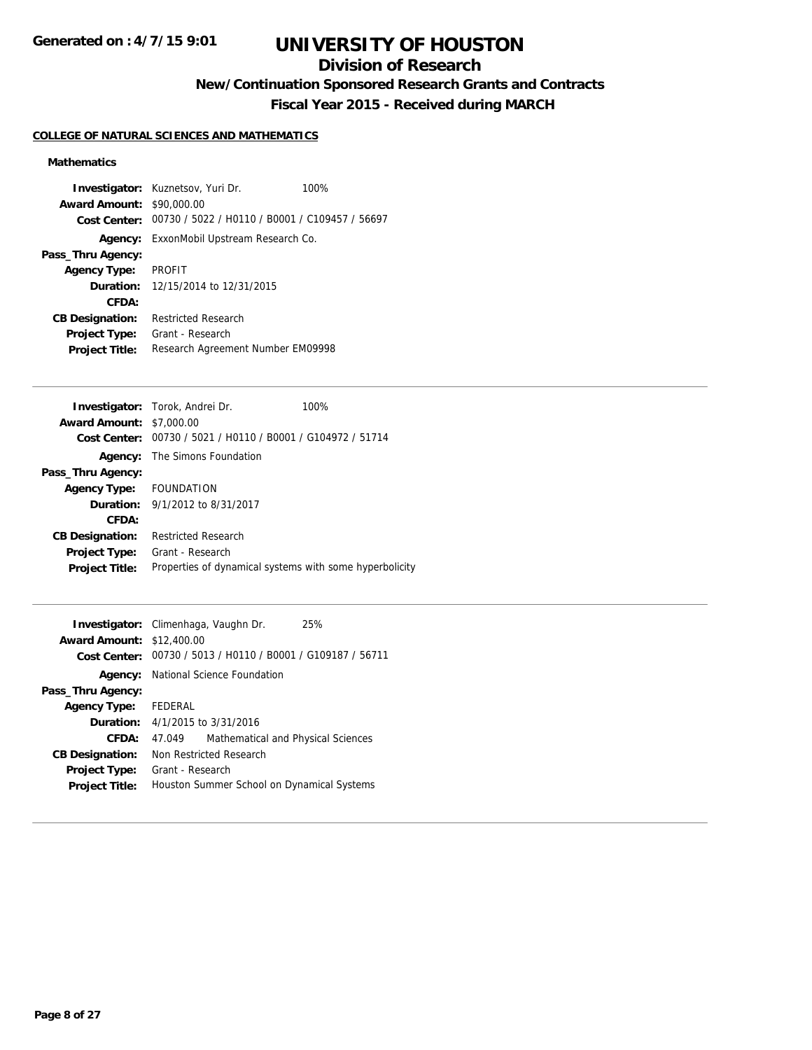## **Division of Research**

**New/Continuation Sponsored Research Grants and Contracts**

**Fiscal Year 2015 - Received during MARCH**

### **COLLEGE OF NATURAL SCIENCES AND MATHEMATICS**

### **Mathematics**

|                                  | <b>Investigator:</b> Kuznetsov, Yuri Dr.                    | 100% |
|----------------------------------|-------------------------------------------------------------|------|
| <b>Award Amount: \$90,000.00</b> |                                                             |      |
|                                  | Cost Center: 00730 / 5022 / H0110 / B0001 / C109457 / 56697 |      |
|                                  | <b>Agency:</b> ExxonMobil Upstream Research Co.             |      |
| Pass_Thru Agency:                |                                                             |      |
| Agency Type: PROFIT              |                                                             |      |
|                                  | <b>Duration:</b> 12/15/2014 to 12/31/2015                   |      |
| CFDA:                            |                                                             |      |
| <b>CB Designation:</b>           | <b>Restricted Research</b>                                  |      |
| <b>Project Type:</b>             | Grant - Research                                            |      |
| <b>Project Title:</b>            | Research Agreement Number EM09998                           |      |

| <b>Award Amount:</b>                                                             |  |
|----------------------------------------------------------------------------------|--|
| \$7,000.00                                                                       |  |
| Cost Center: 00730 / 5021 / H0110 / B0001 / G104972 / 51714                      |  |
| The Simons Foundation<br>Agency:                                                 |  |
| Pass_Thru Agency:                                                                |  |
| Agency Type: FOUNDATION                                                          |  |
| <b>Duration:</b> $9/1/2012$ to $8/31/2017$                                       |  |
| CFDA:                                                                            |  |
| <b>Restricted Research</b><br><b>CB Designation:</b>                             |  |
| Grant - Research<br><b>Project Type:</b>                                         |  |
| Properties of dynamical systems with some hyperbolicity<br><b>Project Title:</b> |  |

|                                  | <b>Investigator:</b> Climenhaga, Vaughn Dr.                 | 25% |
|----------------------------------|-------------------------------------------------------------|-----|
| <b>Award Amount: \$12,400.00</b> |                                                             |     |
|                                  | Cost Center: 00730 / 5013 / H0110 / B0001 / G109187 / 56711 |     |
|                                  | <b>Agency:</b> National Science Foundation                  |     |
| Pass_Thru Agency:                |                                                             |     |
| Agency Type: FEDERAL             |                                                             |     |
|                                  | <b>Duration:</b> $4/1/2015$ to $3/31/2016$                  |     |
| CFDA:                            | Mathematical and Physical Sciences<br>47.049                |     |
| <b>CB Designation:</b>           | Non Restricted Research                                     |     |
| <b>Project Type:</b>             | Grant - Research                                            |     |
| <b>Project Title:</b>            | Houston Summer School on Dynamical Systems                  |     |
|                                  |                                                             |     |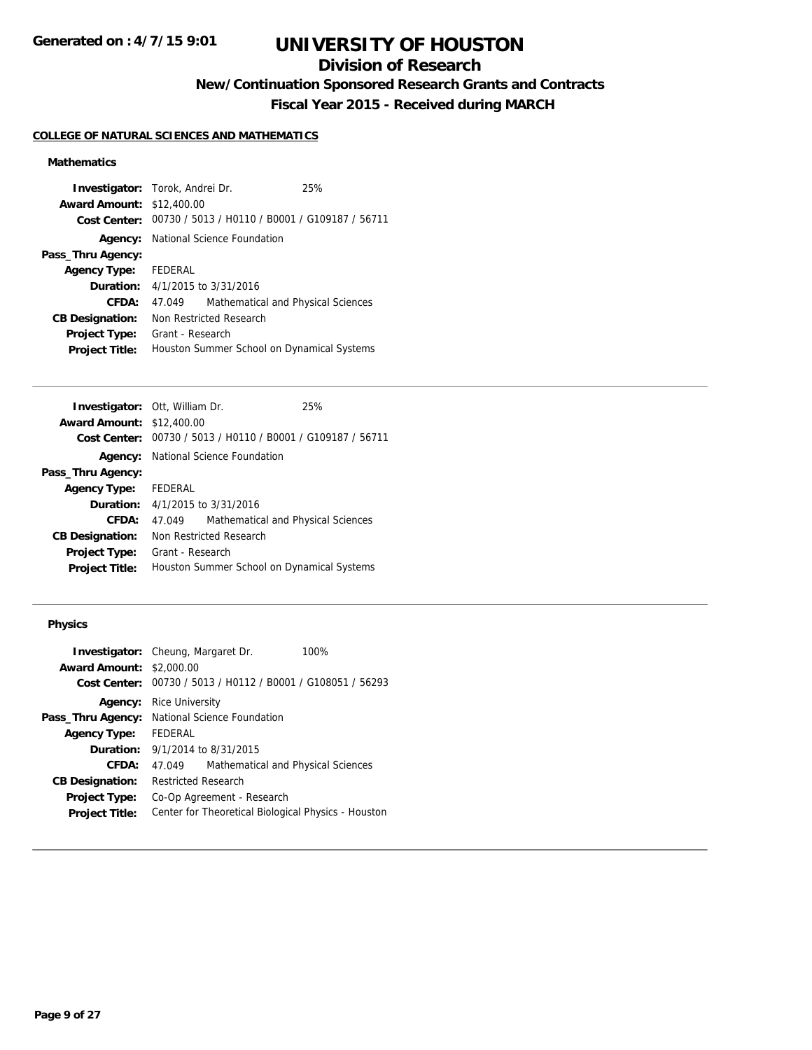## **Division of Research**

**New/Continuation Sponsored Research Grants and Contracts**

**Fiscal Year 2015 - Received during MARCH**

### **COLLEGE OF NATURAL SCIENCES AND MATHEMATICS**

### **Mathematics**

|                                            |         | 25%                                                                                                                                                                                                                                                                     |
|--------------------------------------------|---------|-------------------------------------------------------------------------------------------------------------------------------------------------------------------------------------------------------------------------------------------------------------------------|
|                                            |         |                                                                                                                                                                                                                                                                         |
|                                            |         |                                                                                                                                                                                                                                                                         |
|                                            |         |                                                                                                                                                                                                                                                                         |
|                                            |         |                                                                                                                                                                                                                                                                         |
|                                            |         |                                                                                                                                                                                                                                                                         |
|                                            |         |                                                                                                                                                                                                                                                                         |
| 47.049                                     |         |                                                                                                                                                                                                                                                                         |
| Non Restricted Research                    |         |                                                                                                                                                                                                                                                                         |
| Grant - Research                           |         |                                                                                                                                                                                                                                                                         |
| Houston Summer School on Dynamical Systems |         |                                                                                                                                                                                                                                                                         |
|                                            | FEDERAL | <b>Investigator:</b> Torok, Andrei Dr.<br><b>Award Amount: \$12,400.00</b><br>Cost Center: 00730 / 5013 / H0110 / B0001 / G109187 / 56711<br><b>Agency:</b> National Science Foundation<br><b>Duration:</b> 4/1/2015 to 3/31/2016<br>Mathematical and Physical Sciences |

|                      |                                    | 25%                                                                                                                                                                                                                                                                                               |
|----------------------|------------------------------------|---------------------------------------------------------------------------------------------------------------------------------------------------------------------------------------------------------------------------------------------------------------------------------------------------|
|                      |                                    |                                                                                                                                                                                                                                                                                                   |
|                      |                                    |                                                                                                                                                                                                                                                                                                   |
|                      |                                    |                                                                                                                                                                                                                                                                                                   |
|                      |                                    |                                                                                                                                                                                                                                                                                                   |
| Agency Type: FEDERAL |                                    |                                                                                                                                                                                                                                                                                                   |
|                      |                                    |                                                                                                                                                                                                                                                                                                   |
| 47.049               | Mathematical and Physical Sciences |                                                                                                                                                                                                                                                                                                   |
|                      |                                    |                                                                                                                                                                                                                                                                                                   |
|                      |                                    |                                                                                                                                                                                                                                                                                                   |
|                      |                                    |                                                                                                                                                                                                                                                                                                   |
|                      |                                    | <b>Investigator: Ott, William Dr.</b><br><b>Award Amount: \$12,400.00</b><br>00730 / 5013 / H0110 / B0001 / G109187 / 56711<br>National Science Foundation<br><b>Duration:</b> 4/1/2015 to 3/31/2016<br>Non Restricted Research<br>Grant - Research<br>Houston Summer School on Dynamical Systems |

### **Physics**

|                                 | <b>Investigator:</b> Cheung, Margaret Dr.  | 100%                                                |
|---------------------------------|--------------------------------------------|-----------------------------------------------------|
| <b>Award Amount: \$2,000.00</b> |                                            |                                                     |
| Cost Center:                    |                                            | 00730 / 5013 / H0112 / B0001 / G108051 / 56293      |
| Agency:                         | <b>Rice University</b>                     |                                                     |
| Pass_Thru Agency:               | National Science Foundation                |                                                     |
| <b>Agency Type:</b>             | <b>FEDERAL</b>                             |                                                     |
|                                 | <b>Duration:</b> $9/1/2014$ to $8/31/2015$ |                                                     |
| CFDA:                           | 47.049                                     | Mathematical and Physical Sciences                  |
| <b>CB Designation:</b>          | Restricted Research                        |                                                     |
| <b>Project Type:</b>            | Co-Op Agreement - Research                 |                                                     |
| <b>Project Title:</b>           |                                            | Center for Theoretical Biological Physics - Houston |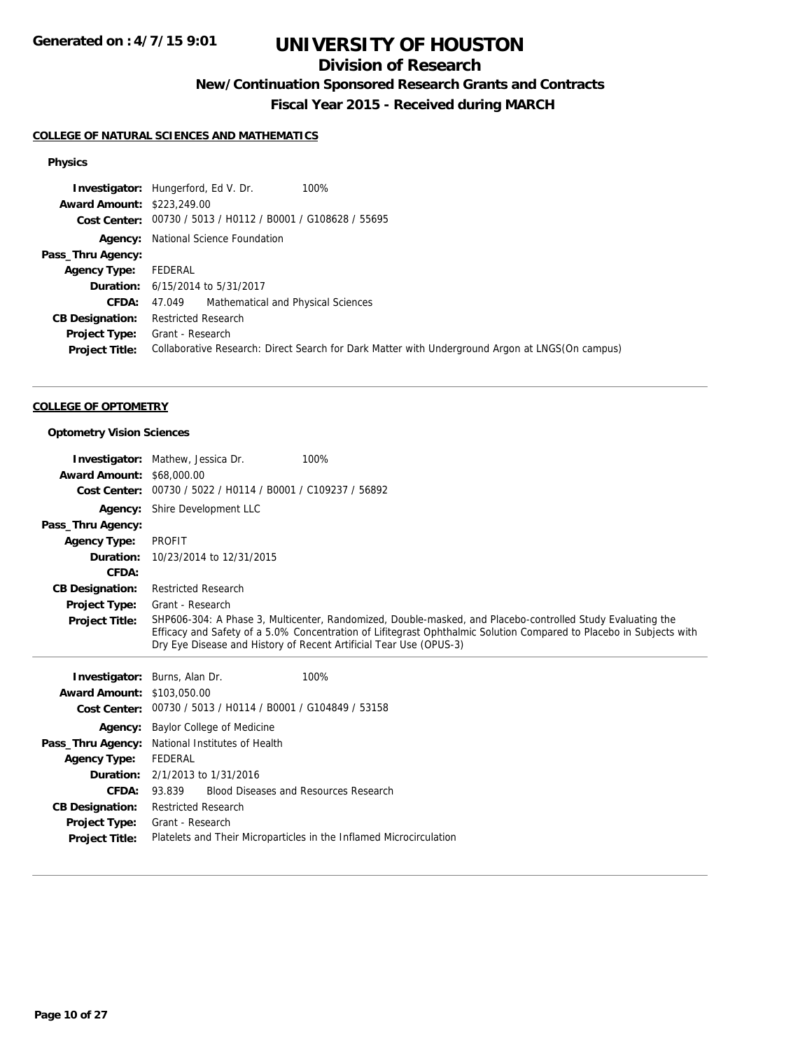## **Division of Research**

**New/Continuation Sponsored Research Grants and Contracts**

**Fiscal Year 2015 - Received during MARCH**

### **COLLEGE OF NATURAL SCIENCES AND MATHEMATICS**

### **Physics**

|                                   | 100%<br><b>Investigator:</b> Hungerford, Ed V. Dr.                                              |
|-----------------------------------|-------------------------------------------------------------------------------------------------|
| <b>Award Amount: \$223,249.00</b> |                                                                                                 |
|                                   | Cost Center: 00730 / 5013 / H0112 / B0001 / G108628 / 55695                                     |
|                                   | <b>Agency:</b> National Science Foundation                                                      |
| Pass_Thru Agency:                 |                                                                                                 |
| <b>Agency Type:</b>               | FEDERAL                                                                                         |
|                                   | <b>Duration:</b> 6/15/2014 to 5/31/2017                                                         |
| <b>CFDA:</b>                      | 47.049 Mathematical and Physical Sciences                                                       |
| <b>CB Designation:</b>            | <b>Restricted Research</b>                                                                      |
| <b>Project Type:</b>              | Grant - Research                                                                                |
| <b>Project Title:</b>             | Collaborative Research: Direct Search for Dark Matter with Underground Argon at LNGS(On campus) |

#### **COLLEGE OF OPTOMETRY**

#### **Optometry Vision Sciences**

|                        | 100%<br><b>Investigator:</b> Mathew, Jessica Dr.                    |                                                                                                                     |
|------------------------|---------------------------------------------------------------------|---------------------------------------------------------------------------------------------------------------------|
| <b>Award Amount:</b>   | \$68,000.00                                                         |                                                                                                                     |
| <b>Cost Center:</b>    | 00730 / 5022 / H0114 / B0001 / C109237 / 56892                      |                                                                                                                     |
| Agency:                | Shire Development LLC                                               |                                                                                                                     |
| Pass_Thru Agency:      |                                                                     |                                                                                                                     |
| <b>Agency Type:</b>    | <b>PROFIT</b>                                                       |                                                                                                                     |
| Duration:              | 10/23/2014 to 12/31/2015                                            |                                                                                                                     |
| CFDA:                  |                                                                     |                                                                                                                     |
| <b>CB Designation:</b> | <b>Restricted Research</b>                                          |                                                                                                                     |
| <b>Project Type:</b>   | Grant - Research                                                    |                                                                                                                     |
| <b>Project Title:</b>  |                                                                     | SHP606-304: A Phase 3, Multicenter, Randomized, Double-masked, and Placebo-controlled Study Evaluating the          |
|                        | Dry Eye Disease and History of Recent Artificial Tear Use (OPUS-3)  | Efficacy and Safety of a 5.0% Concentration of Lifitegrast Ophthalmic Solution Compared to Placebo in Subjects with |
|                        |                                                                     |                                                                                                                     |
|                        |                                                                     |                                                                                                                     |
| Investigator:          | Burns, Alan Dr.<br>100%                                             |                                                                                                                     |
| <b>Award Amount:</b>   | \$103,050.00                                                        |                                                                                                                     |
| <b>Cost Center:</b>    | 00730 / 5013 / H0114 / B0001 / G104849 / 53158                      |                                                                                                                     |
| Agency:                | Baylor College of Medicine                                          |                                                                                                                     |
| Pass_Thru Agency:      | National Institutes of Health                                       |                                                                                                                     |
| <b>Agency Type:</b>    | FEDERAL                                                             |                                                                                                                     |
| Duration:              | 2/1/2013 to 1/31/2016                                               |                                                                                                                     |
| CFDA:                  | <b>Blood Diseases and Resources Research</b><br>93.839              |                                                                                                                     |
| <b>CB Designation:</b> | <b>Restricted Research</b>                                          |                                                                                                                     |
| <b>Project Type:</b>   | Grant - Research                                                    |                                                                                                                     |
| <b>Project Title:</b>  | Platelets and Their Microparticles in the Inflamed Microcirculation |                                                                                                                     |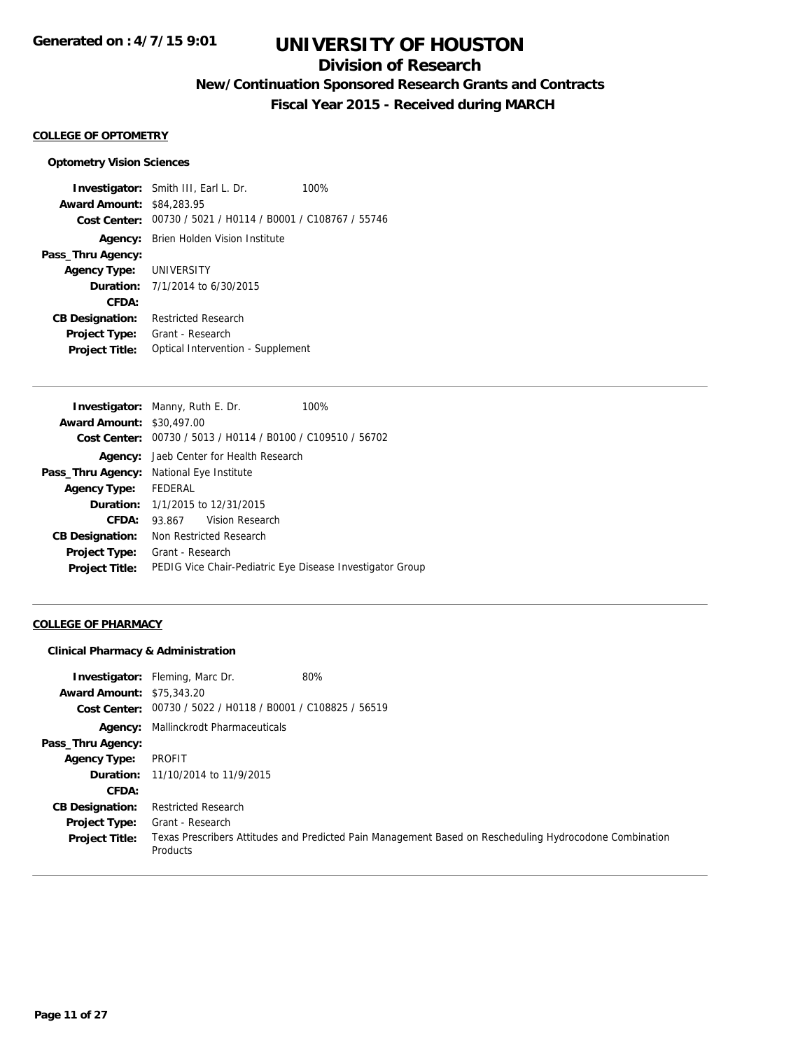## **Division of Research**

**New/Continuation Sponsored Research Grants and Contracts**

**Fiscal Year 2015 - Received during MARCH**

#### **COLLEGE OF OPTOMETRY**

#### **Optometry Vision Sciences**

**Investigator:** Smith III, Earl L. Dr. 100% **Award Amount:** \$84,283.95 **Cost Center:** 00730 / 5021 / H0114 / B0001 / C108767 / 55746 **Agency:** Brien Holden Vision Institute **Pass\_Thru Agency: Agency Type:** UNIVERSITY **Duration:** 7/1/2014 to 6/30/2015 **CFDA: CB Designation:** Restricted Research **Project Type:** Grant - Research **Project Title:** Optical Intervention - Supplement

|                         | 100%                                                                                                                                                                                                                                                                                                                                         |
|-------------------------|----------------------------------------------------------------------------------------------------------------------------------------------------------------------------------------------------------------------------------------------------------------------------------------------------------------------------------------------|
|                         |                                                                                                                                                                                                                                                                                                                                              |
|                         |                                                                                                                                                                                                                                                                                                                                              |
|                         |                                                                                                                                                                                                                                                                                                                                              |
|                         |                                                                                                                                                                                                                                                                                                                                              |
|                         |                                                                                                                                                                                                                                                                                                                                              |
|                         |                                                                                                                                                                                                                                                                                                                                              |
| 93.867 Vision Research  |                                                                                                                                                                                                                                                                                                                                              |
| Non Restricted Research |                                                                                                                                                                                                                                                                                                                                              |
| Grant - Research        |                                                                                                                                                                                                                                                                                                                                              |
|                         | PEDIG Vice Chair-Pediatric Eye Disease Investigator Group                                                                                                                                                                                                                                                                                    |
|                         | <b>Investigator:</b> Manny, Ruth E. Dr.<br><b>Award Amount: \$30,497,00</b><br>Cost Center: 00730 / 5013 / H0114 / B0100 / C109510 / 56702<br><b>Agency:</b> Jaeb Center for Health Research<br><b>Pass_Thru Agency:</b> National Eye Institute<br>Agency Type: FEDERAL<br><b>Duration:</b> 1/1/2015 to 12/31/2015<br><b>CB Designation:</b> |

#### **COLLEGE OF PHARMACY**

#### **Clinical Pharmacy & Administration**

| <b>Award Amount: \$75,343.20</b> | 80%<br><b>Investigator:</b> Fleming, Marc Dr.               |                                                                                                         |
|----------------------------------|-------------------------------------------------------------|---------------------------------------------------------------------------------------------------------|
|                                  | Cost Center: 00730 / 5022 / H0118 / B0001 / C108825 / 56519 |                                                                                                         |
|                                  | <b>Agency:</b> Mallinckrodt Pharmaceuticals                 |                                                                                                         |
| Pass_Thru Agency:                |                                                             |                                                                                                         |
| <b>Agency Type:</b>              | PROFIT                                                      |                                                                                                         |
|                                  | <b>Duration:</b> 11/10/2014 to 11/9/2015                    |                                                                                                         |
| CFDA:                            |                                                             |                                                                                                         |
| <b>CB Designation:</b>           | <b>Restricted Research</b>                                  |                                                                                                         |
| <b>Project Type:</b>             | Grant - Research                                            |                                                                                                         |
| <b>Project Title:</b>            | Products                                                    | Texas Prescribers Attitudes and Predicted Pain Management Based on Rescheduling Hydrocodone Combination |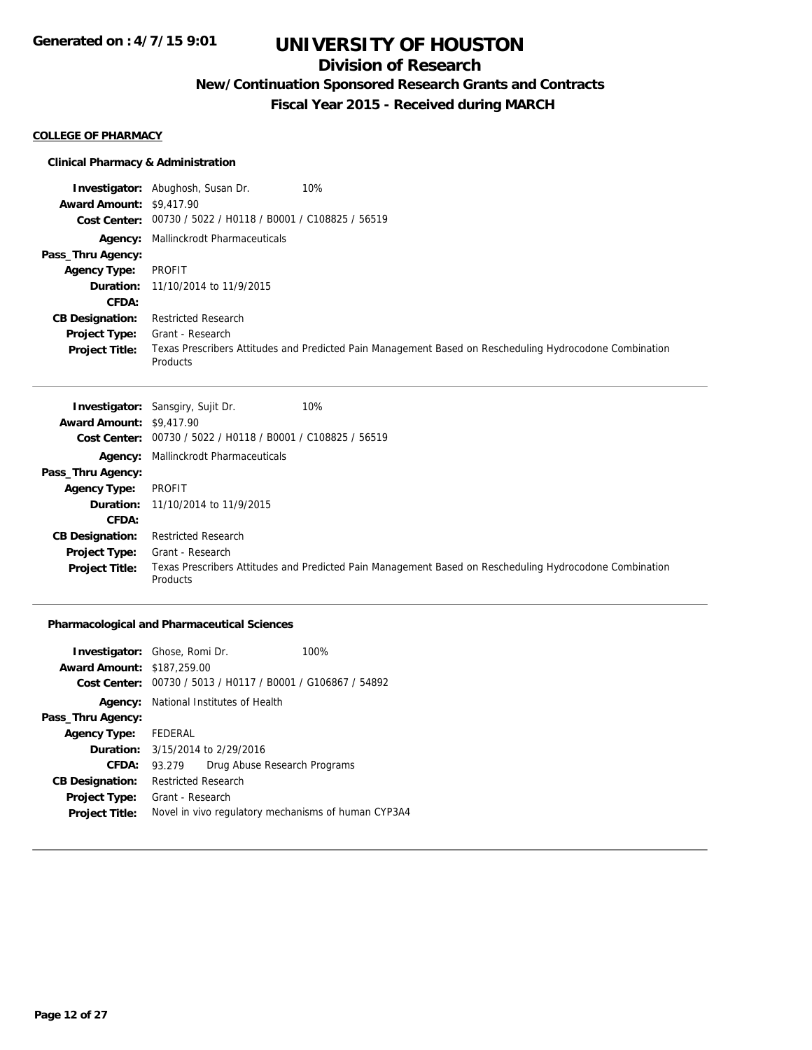## **Division of Research**

**New/Continuation Sponsored Research Grants and Contracts**

**Fiscal Year 2015 - Received during MARCH**

#### **COLLEGE OF PHARMACY**

#### **Clinical Pharmacy & Administration**

**Investigator:** Abughosh, Susan Dr. 10% **Award Amount:** \$9,417.90 **Cost Center:** 00730 / 5022 / H0118 / B0001 / C108825 / 56519 **Agency:** Mallinckrodt Pharmaceuticals **Pass\_Thru Agency: Agency Type:** PROFIT **Duration:** 11/10/2014 to 11/9/2015 **CFDA: CB Designation:** Restricted Research **Project Type:** Grant - Research **Project Title:** Texas Prescribers Attitudes and Predicted Pain Management Based on Rescheduling Hydrocodone Combination Products

|                                 | <b>Investigator:</b> Sansgiry, Sujit Dr.<br>10%                                                                     |
|---------------------------------|---------------------------------------------------------------------------------------------------------------------|
| <b>Award Amount: \$9,417.90</b> |                                                                                                                     |
|                                 | Cost Center: 00730 / 5022 / H0118 / B0001 / C108825 / 56519                                                         |
|                                 | <b>Agency:</b> Mallinckrodt Pharmaceuticals                                                                         |
| Pass_Thru Agency:               |                                                                                                                     |
| <b>Agency Type:</b>             | PROFIT                                                                                                              |
|                                 | <b>Duration:</b> 11/10/2014 to 11/9/2015                                                                            |
| CFDA:                           |                                                                                                                     |
| <b>CB Designation:</b>          | <b>Restricted Research</b>                                                                                          |
| <b>Project Type:</b>            | Grant - Research                                                                                                    |
| <b>Project Title:</b>           | Texas Prescribers Attitudes and Predicted Pain Management Based on Rescheduling Hydrocodone Combination<br>Products |

#### **Pharmacological and Pharmaceutical Sciences**

| <b>Award Amount: \$187,259.00</b> | <b>Investigator:</b> Ghose, Romi Dr.                                            |                              | 100%                                                |
|-----------------------------------|---------------------------------------------------------------------------------|------------------------------|-----------------------------------------------------|
| Cost Center:<br>Agency:           | 00730 / 5013 / H0117 / B0001 / G106867 / 54892<br>National Institutes of Health |                              |                                                     |
| Pass_Thru Agency:                 |                                                                                 |                              |                                                     |
| <b>Agency Type:</b>               | FEDERAL                                                                         |                              |                                                     |
| Duration:                         | 3/15/2014 to 2/29/2016                                                          |                              |                                                     |
| CFDA:                             | 93.279                                                                          | Drug Abuse Research Programs |                                                     |
| <b>CB Designation:</b>            | <b>Restricted Research</b>                                                      |                              |                                                     |
| <b>Project Type:</b>              | Grant - Research                                                                |                              |                                                     |
| <b>Project Title:</b>             |                                                                                 |                              | Novel in vivo regulatory mechanisms of human CYP3A4 |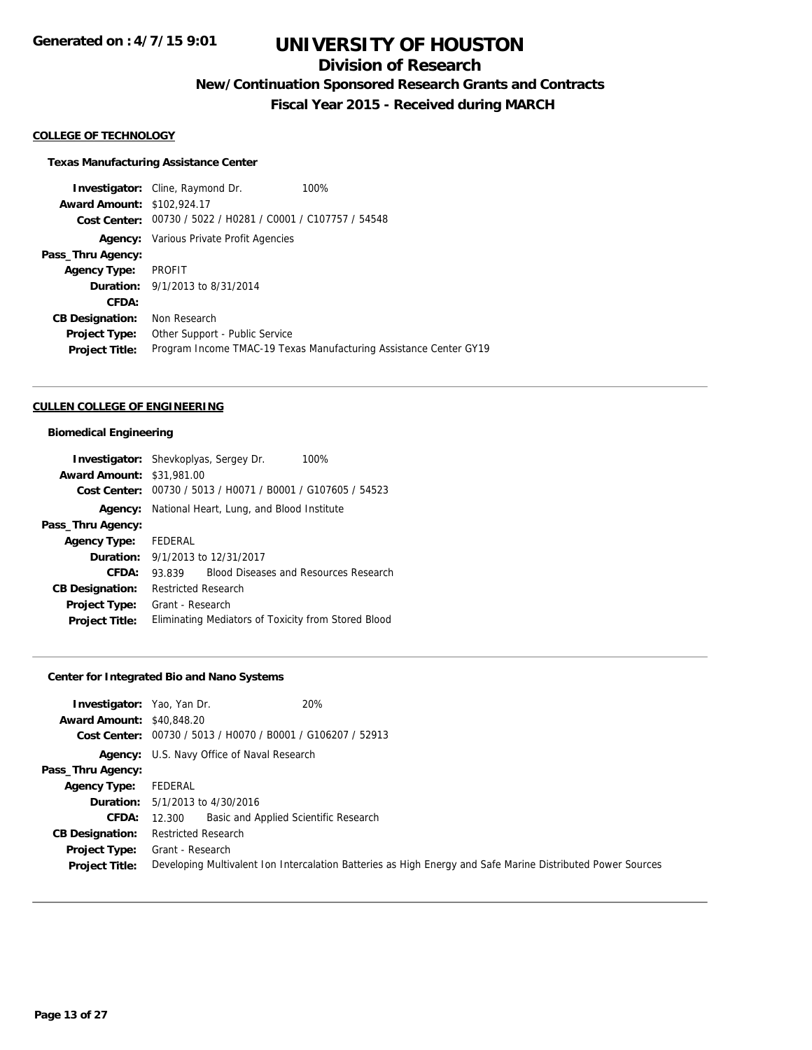## **Division of Research**

**New/Continuation Sponsored Research Grants and Contracts**

**Fiscal Year 2015 - Received during MARCH**

#### **COLLEGE OF TECHNOLOGY**

#### **Texas Manufacturing Assistance Center**

**Investigator:** Cline, Raymond Dr. 100% **Award Amount:** \$102,924.17 **Cost Center:** 00730 / 5022 / H0281 / C0001 / C107757 / 54548 **Agency:** Various Private Profit Agencies **Pass\_Thru Agency: Agency Type:** PROFIT **Duration:** 9/1/2013 to 8/31/2014 **CFDA: CB Designation:** Non Research **Project Type:** Other Support - Public Service **Project Title:** Program Income TMAC-19 Texas Manufacturing Assistance Center GY19

#### **CULLEN COLLEGE OF ENGINEERING**

#### **Biomedical Engineering**

|                                  | <b>Investigator:</b> Shevkoplyas, Sergey Dr.<br>100% |  |
|----------------------------------|------------------------------------------------------|--|
| <b>Award Amount: \$31,981.00</b> |                                                      |  |
| Cost Center:                     | 00730 / 5013 / H0071 / B0001 / G107605 / 54523       |  |
| Agency:                          | National Heart, Lung, and Blood Institute            |  |
| Pass_Thru Agency:                |                                                      |  |
| <b>Agency Type:</b>              | FEDERAL                                              |  |
|                                  | <b>Duration:</b> 9/1/2013 to 12/31/2017              |  |
| CFDA:                            | Blood Diseases and Resources Research<br>93.839      |  |
| <b>CB Designation:</b>           | <b>Restricted Research</b>                           |  |
| Project Type:                    | Grant - Research                                     |  |
| <b>Project Title:</b>            | Eliminating Mediators of Toxicity from Stored Blood  |  |

### **Center for Integrated Bio and Nano Systems**

| <b>Investigator:</b> Yao, Yan Dr.<br><b>Award Amount: \$40,848.20</b> | 20%                                                                                                         |
|-----------------------------------------------------------------------|-------------------------------------------------------------------------------------------------------------|
|                                                                       | Cost Center: 00730 / 5013 / H0070 / B0001 / G106207 / 52913                                                 |
|                                                                       | Agency: U.S. Navy Office of Naval Research                                                                  |
| Pass_Thru Agency:                                                     |                                                                                                             |
| Agency Type:                                                          | FEDERAL                                                                                                     |
|                                                                       | <b>Duration:</b> 5/1/2013 to 4/30/2016                                                                      |
| <b>CFDA:</b>                                                          | Basic and Applied Scientific Research<br>12.300                                                             |
| <b>CB Designation:</b>                                                | <b>Restricted Research</b>                                                                                  |
| <b>Project Type:</b>                                                  | Grant - Research                                                                                            |
| <b>Project Title:</b>                                                 | Developing Multivalent Ion Intercalation Batteries as High Energy and Safe Marine Distributed Power Sources |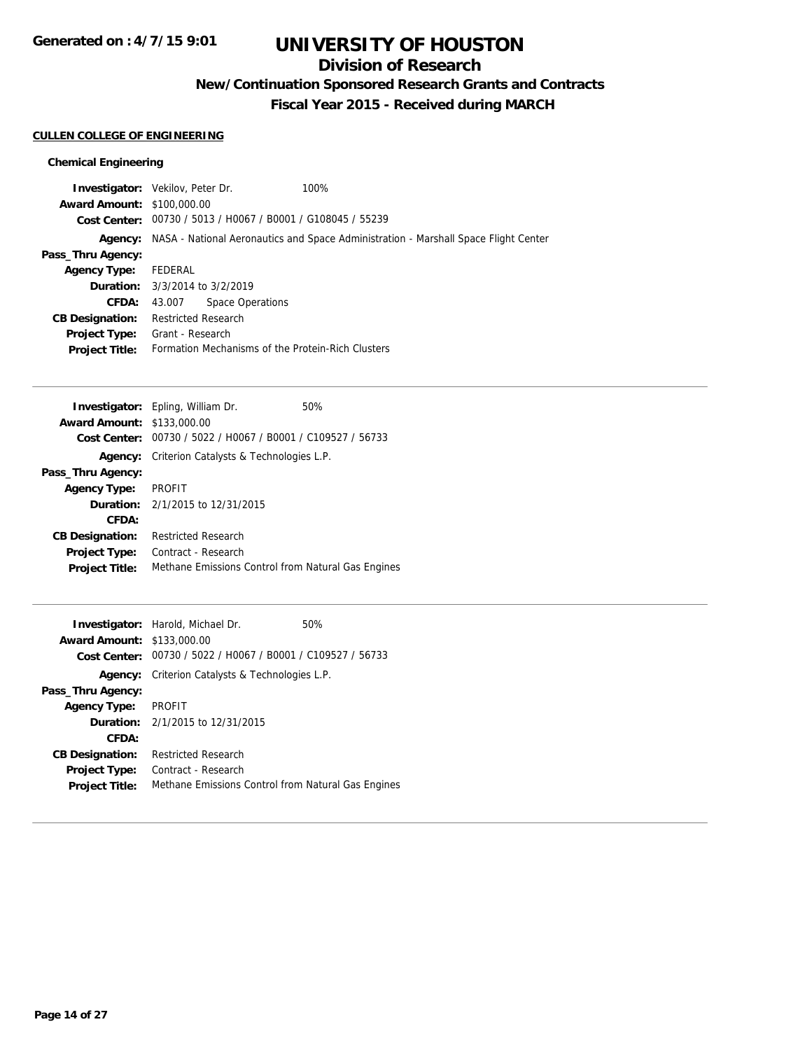## **Division of Research**

**New/Continuation Sponsored Research Grants and Contracts**

**Fiscal Year 2015 - Received during MARCH**

#### **CULLEN COLLEGE OF ENGINEERING**

### **Chemical Engineering**

|                                   | <b>Investigator:</b> Vekilov, Peter Dr.                     | 100%                                                                                               |
|-----------------------------------|-------------------------------------------------------------|----------------------------------------------------------------------------------------------------|
| <b>Award Amount: \$100,000.00</b> |                                                             |                                                                                                    |
|                                   | Cost Center: 00730 / 5013 / H0067 / B0001 / G108045 / 55239 |                                                                                                    |
|                                   |                                                             | <b>Agency:</b> NASA - National Aeronautics and Space Administration - Marshall Space Flight Center |
| Pass_Thru Agency:                 |                                                             |                                                                                                    |
| <b>Agency Type:</b>               | FEDERAL                                                     |                                                                                                    |
|                                   | <b>Duration:</b> 3/3/2014 to 3/2/2019                       |                                                                                                    |
| CFDA:                             | Space Operations<br>43.007                                  |                                                                                                    |
| <b>CB Designation:</b>            | <b>Restricted Research</b>                                  |                                                                                                    |
| <b>Project Type:</b>              | Grant - Research                                            |                                                                                                    |
| <b>Project Title:</b>             | Formation Mechanisms of the Protein-Rich Clusters           |                                                                                                    |
|                                   |                                                             |                                                                                                    |

|                                   | <b>Investigator:</b> Epling, William Dr.           | 50% |
|-----------------------------------|----------------------------------------------------|-----|
| <b>Award Amount: \$133,000.00</b> |                                                    |     |
| Cost Center:                      | 00730 / 5022 / H0067 / B0001 / C109527 / 56733     |     |
| Agency:                           | Criterion Catalysts & Technologies L.P.            |     |
| Pass_Thru Agency:                 |                                                    |     |
| <b>Agency Type:</b>               | <b>PROFIT</b>                                      |     |
|                                   | <b>Duration:</b> 2/1/2015 to 12/31/2015            |     |
| CFDA:                             |                                                    |     |
| <b>CB Designation:</b>            | <b>Restricted Research</b>                         |     |
| <b>Project Type:</b>              | Contract - Research                                |     |
| <b>Project Title:</b>             | Methane Emissions Control from Natural Gas Engines |     |
|                                   |                                                    |     |

|                                   | <b>Investigator:</b> Harold, Michael Dr.                    | 50% |
|-----------------------------------|-------------------------------------------------------------|-----|
| <b>Award Amount: \$133,000.00</b> |                                                             |     |
|                                   | Cost Center: 00730 / 5022 / H0067 / B0001 / C109527 / 56733 |     |
| Agency:                           | Criterion Catalysts & Technologies L.P.                     |     |
| Pass_Thru Agency:                 |                                                             |     |
| <b>Agency Type:</b>               | <b>PROFIT</b>                                               |     |
|                                   | <b>Duration:</b> 2/1/2015 to 12/31/2015                     |     |
| CFDA:                             |                                                             |     |
| <b>CB Designation:</b>            | <b>Restricted Research</b>                                  |     |
| <b>Project Type:</b>              | Contract - Research                                         |     |
| <b>Project Title:</b>             | Methane Emissions Control from Natural Gas Engines          |     |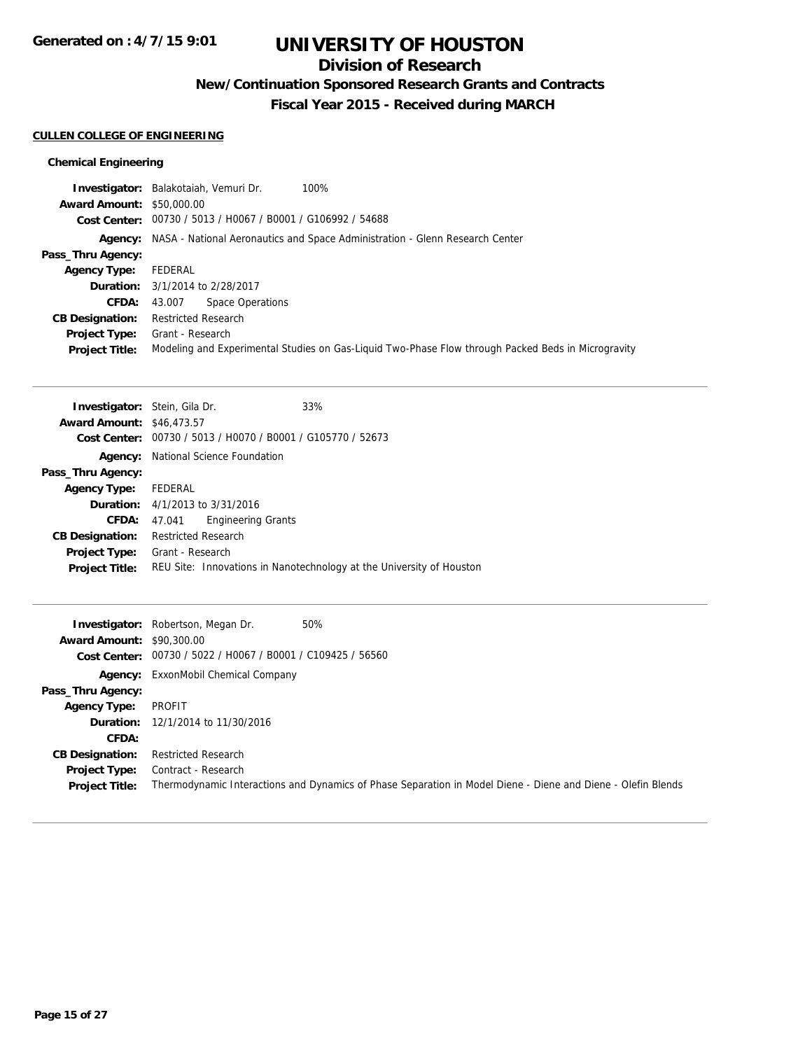## **Division of Research**

**New/Continuation Sponsored Research Grants and Contracts**

**Fiscal Year 2015 - Received during MARCH**

#### **CULLEN COLLEGE OF ENGINEERING**

### **Chemical Engineering**

|                                  | Investigator: Balakotaiah, Vemuri Dr.<br>100%                                                      |
|----------------------------------|----------------------------------------------------------------------------------------------------|
| <b>Award Amount: \$50,000.00</b> |                                                                                                    |
|                                  | Cost Center: 00730 / 5013 / H0067 / B0001 / G106992 / 54688                                        |
|                                  | <b>Agency:</b> NASA - National Aeronautics and Space Administration - Glenn Research Center        |
| Pass_Thru Agency:                |                                                                                                    |
| <b>Agency Type:</b>              | FEDERAL                                                                                            |
|                                  | <b>Duration:</b> 3/1/2014 to 2/28/2017                                                             |
| <b>CFDA:</b>                     | Space Operations<br>43.007                                                                         |
| <b>CB Designation:</b>           | <b>Restricted Research</b>                                                                         |
| <b>Project Type:</b>             | Grant - Research                                                                                   |
| <b>Project Title:</b>            | Modeling and Experimental Studies on Gas-Liquid Two-Phase Flow through Packed Beds in Microgravity |
|                                  |                                                                                                    |

| <b>Investigator:</b> Stein, Gila Dr. |                                            | 33%                                                                  |
|--------------------------------------|--------------------------------------------|----------------------------------------------------------------------|
| <b>Award Amount: \$46,473.57</b>     |                                            |                                                                      |
|                                      |                                            | Cost Center: 00730 / 5013 / H0070 / B0001 / G105770 / 52673          |
| Agency:                              | National Science Foundation                |                                                                      |
| Pass_Thru Agency:                    |                                            |                                                                      |
| <b>Agency Type:</b>                  | FEDERAL                                    |                                                                      |
|                                      | <b>Duration:</b> $4/1/2013$ to $3/31/2016$ |                                                                      |
| CFDA:                                | 47.041                                     | <b>Engineering Grants</b>                                            |
| <b>CB Designation:</b>               | Restricted Research                        |                                                                      |
| <b>Project Type:</b>                 | Grant - Research                           |                                                                      |
| <b>Project Title:</b>                |                                            | REU Site: Innovations in Nanotechnology at the University of Houston |

|                                  | 50%<br><b>Investigator:</b> Robertson, Megan Dr.            |                                                                                                              |
|----------------------------------|-------------------------------------------------------------|--------------------------------------------------------------------------------------------------------------|
| <b>Award Amount: \$90,300.00</b> |                                                             |                                                                                                              |
|                                  | Cost Center: 00730 / 5022 / H0067 / B0001 / C109425 / 56560 |                                                                                                              |
|                                  | <b>Agency:</b> ExxonMobil Chemical Company                  |                                                                                                              |
| Pass_Thru Agency:                |                                                             |                                                                                                              |
| <b>Agency Type:</b>              | PROFIT                                                      |                                                                                                              |
|                                  | <b>Duration:</b> 12/1/2014 to 11/30/2016                    |                                                                                                              |
| CFDA:                            |                                                             |                                                                                                              |
| <b>CB Designation:</b>           | <b>Restricted Research</b>                                  |                                                                                                              |
| Project Type:                    | Contract - Research                                         |                                                                                                              |
| <b>Project Title:</b>            |                                                             | Thermodynamic Interactions and Dynamics of Phase Separation in Model Diene - Diene and Diene - Olefin Blends |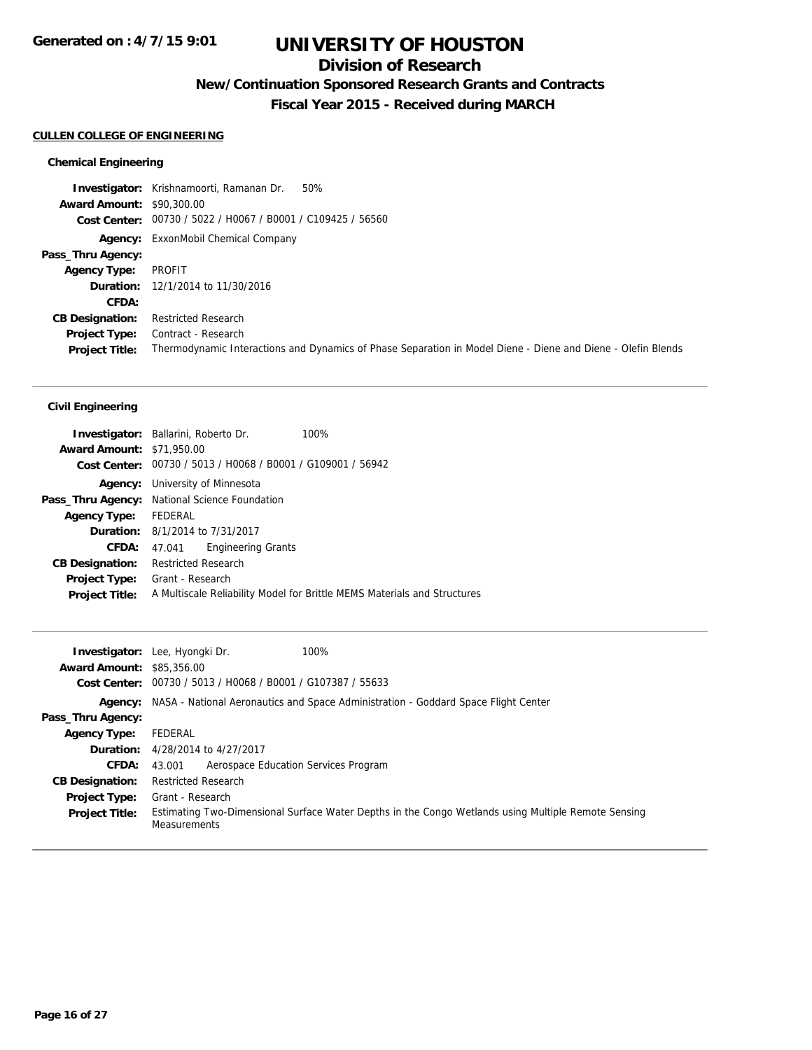## **Division of Research**

**New/Continuation Sponsored Research Grants and Contracts**

**Fiscal Year 2015 - Received during MARCH**

#### **CULLEN COLLEGE OF ENGINEERING**

#### **Chemical Engineering**

**Investigator:** Krishnamoorti, Ramanan Dr. 50% **Award Amount:** \$90,300.00 **Cost Center:** 00730 / 5022 / H0067 / B0001 / C109425 / 56560 **Agency:** ExxonMobil Chemical Company **Pass\_Thru Agency: Agency Type:** PROFIT **Duration:** 12/1/2014 to 11/30/2016 **CFDA: CB Designation:** Restricted Research **Project Type:** Contract - Research **Project Title:** Thermodynamic Interactions and Dynamics of Phase Separation in Model Diene - Diene and Diene - Olefin Blends

#### **Civil Engineering**

|                                  | <b>Investigator:</b> Ballarini, Roberto Dr.                 | 100%                                                                     |
|----------------------------------|-------------------------------------------------------------|--------------------------------------------------------------------------|
| <b>Award Amount: \$71,950.00</b> |                                                             |                                                                          |
|                                  | Cost Center: 00730 / 5013 / H0068 / B0001 / G109001 / 56942 |                                                                          |
| Agency:                          | University of Minnesota                                     |                                                                          |
|                                  | Pass_Thru Agency: National Science Foundation               |                                                                          |
| <b>Agency Type:</b>              | FEDERAL                                                     |                                                                          |
|                                  | <b>Duration:</b> 8/1/2014 to 7/31/2017                      |                                                                          |
| CFDA:                            | <b>Engineering Grants</b><br>47.041                         |                                                                          |
| <b>CB Designation:</b>           | <b>Restricted Research</b>                                  |                                                                          |
| <b>Project Type:</b>             | Grant - Research                                            |                                                                          |
| <b>Project Title:</b>            |                                                             | A Multiscale Reliability Model for Brittle MEMS Materials and Structures |
|                                  |                                                             |                                                                          |

| <b>Award Amount: \$85,356,00</b> | 100%<br><b>Investigator:</b> Lee, Hyongki Dr.                                                                              |
|----------------------------------|----------------------------------------------------------------------------------------------------------------------------|
|                                  | Cost Center: 00730 / 5013 / H0068 / B0001 / G107387 / 55633                                                                |
| Agency:                          | NASA - National Aeronautics and Space Administration - Goddard Space Flight Center                                         |
| Pass_Thru Agency:                |                                                                                                                            |
| <b>Agency Type:</b>              | FEDERAL                                                                                                                    |
|                                  | <b>Duration:</b> 4/28/2014 to 4/27/2017                                                                                    |
| <b>CFDA:</b>                     | Aerospace Education Services Program<br>43.001                                                                             |
| <b>CB Designation:</b>           | <b>Restricted Research</b>                                                                                                 |
| <b>Project Type:</b>             | Grant - Research                                                                                                           |
| <b>Project Title:</b>            | Estimating Two-Dimensional Surface Water Depths in the Congo Wetlands using Multiple Remote Sensing<br><b>Measurements</b> |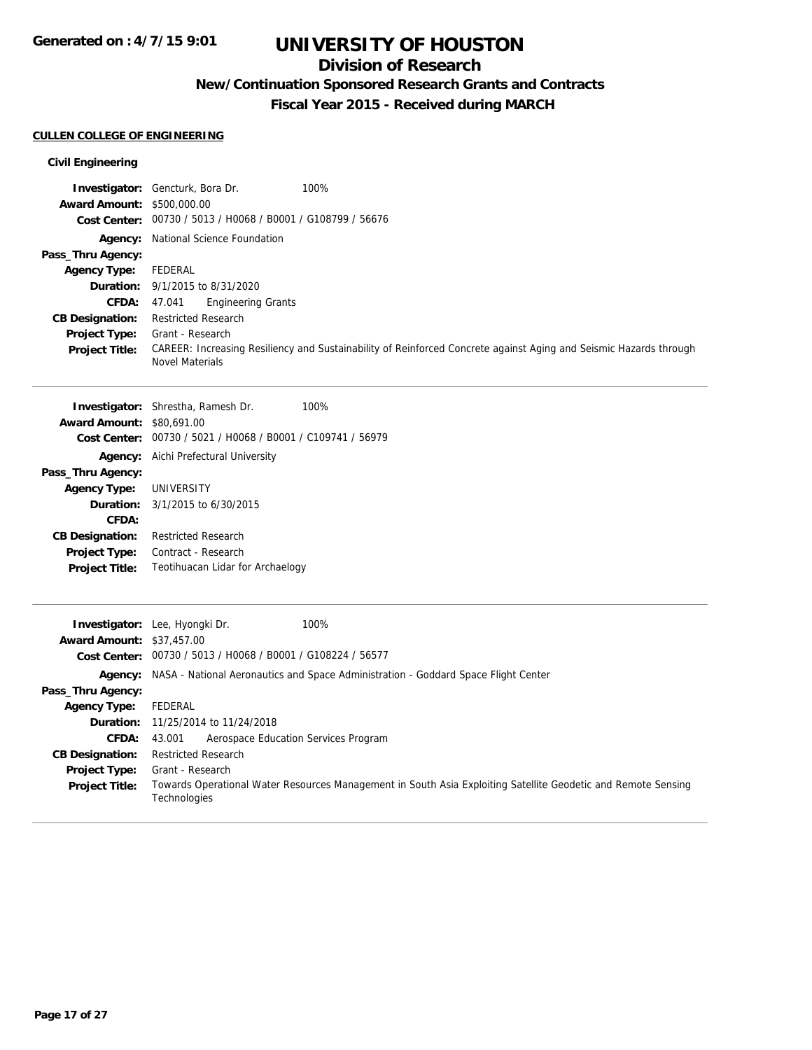## **Division of Research**

**New/Continuation Sponsored Research Grants and Contracts**

**Fiscal Year 2015 - Received during MARCH**

## **CULLEN COLLEGE OF ENGINEERING**

### **Civil Engineering**

|                                   | 100%<br><b>Investigator:</b> Gencturk, Bora Dr.                                                                                             |
|-----------------------------------|---------------------------------------------------------------------------------------------------------------------------------------------|
| <b>Award Amount: \$500,000.00</b> |                                                                                                                                             |
|                                   | Cost Center: 00730 / 5013 / H0068 / B0001 / G108799 / 56676                                                                                 |
| Agency:                           | National Science Foundation                                                                                                                 |
| Pass_Thru Agency:                 |                                                                                                                                             |
| <b>Agency Type:</b>               | <b>FEDERAL</b>                                                                                                                              |
| Duration:                         | 9/1/2015 to 8/31/2020                                                                                                                       |
| CFDA:                             | 47.041<br><b>Engineering Grants</b>                                                                                                         |
| <b>CB Designation:</b>            | <b>Restricted Research</b>                                                                                                                  |
| Project Type:                     | Grant - Research                                                                                                                            |
| <b>Project Title:</b>             | CAREER: Increasing Resiliency and Sustainability of Reinforced Concrete against Aging and Seismic Hazards through<br><b>Novel Materials</b> |
|                                   | 100%<br>Investigator: Shrestha, Ramesh Dr.                                                                                                  |
| <b>Award Amount: \$80,691.00</b>  |                                                                                                                                             |
|                                   | Cost Center: 00730 / 5021 / H0068 / B0001 / C109741 / 56979                                                                                 |
|                                   | <b>Agency:</b> Aichi Prefectural University                                                                                                 |
| Pass_Thru Agency:                 |                                                                                                                                             |
| <b>Agency Type:</b>               | UNIVERSITY                                                                                                                                  |
| Duration:                         | 3/1/2015 to 6/30/2015                                                                                                                       |
| CFDA:                             |                                                                                                                                             |
| <b>CB Designation:</b>            | <b>Restricted Research</b>                                                                                                                  |
| Project Type:                     | Contract - Research                                                                                                                         |
| <b>Project Title:</b>             | Teotihuacan Lidar for Archaelogy                                                                                                            |
|                                   |                                                                                                                                             |
|                                   | Investigator: Lee, Hyongki Dr.<br>100%                                                                                                      |
| <b>Award Amount: \$37,457.00</b>  |                                                                                                                                             |
|                                   | Cost Center: 00730 / 5013 / H0068 / B0001 / G108224 / 56577                                                                                 |
|                                   | Agency: NASA - National Aeronautics and Space Administration - Goddard Space Flight Center                                                  |
| Pass_Thru Agency:                 |                                                                                                                                             |
| <b>Agency Type:</b>               | <b>FEDERAL</b>                                                                                                                              |
| Duration:                         | 11/25/2014 to 11/24/2018                                                                                                                    |
| <b>CFDA:</b>                      | Aerospace Education Services Program<br>43.001                                                                                              |
| <b>CB Designation:</b>            | <b>Restricted Research</b>                                                                                                                  |
| Project Type:                     | Grant - Research                                                                                                                            |
| <b>Project Title:</b>             | Towards Operational Water Resources Management in South Asia Exploiting Satellite Geodetic and Remote Sensing<br>Technologies               |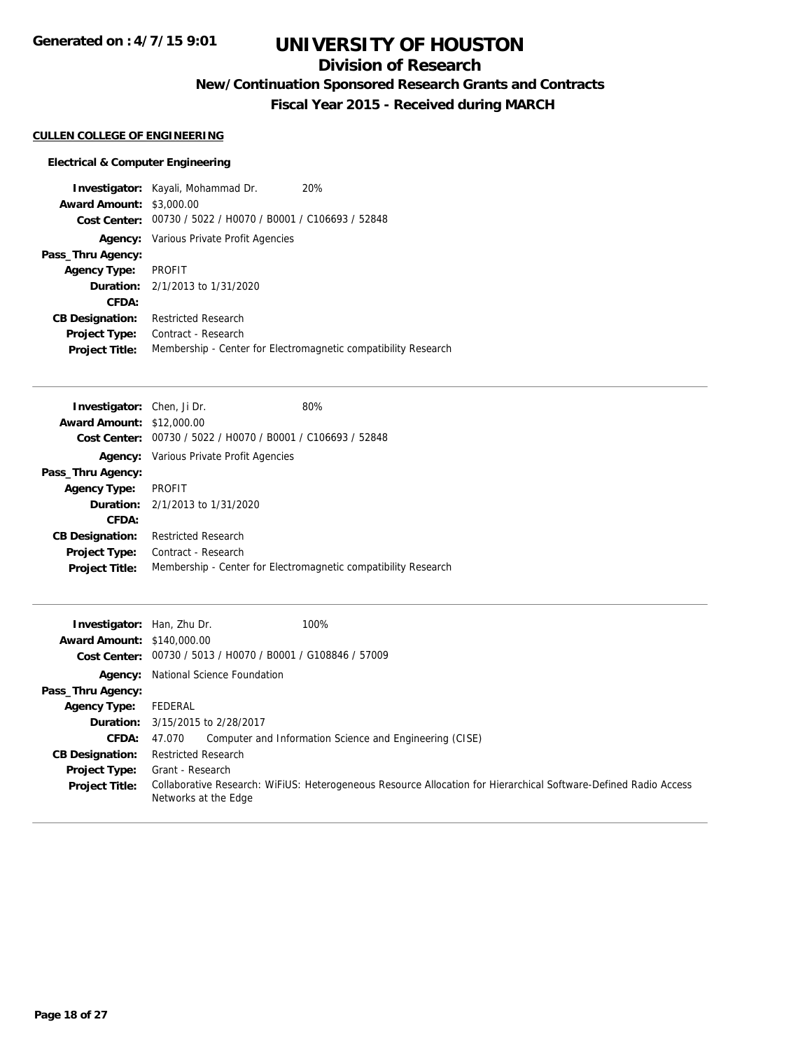## **Division of Research**

**New/Continuation Sponsored Research Grants and Contracts**

**Fiscal Year 2015 - Received during MARCH**

### **CULLEN COLLEGE OF ENGINEERING**

|                                 | <b>Investigator:</b> Kayali, Mohammad Dr.                   | 20%                                                            |
|---------------------------------|-------------------------------------------------------------|----------------------------------------------------------------|
| <b>Award Amount: \$3,000.00</b> |                                                             |                                                                |
|                                 | Cost Center: 00730 / 5022 / H0070 / B0001 / C106693 / 52848 |                                                                |
|                                 | <b>Agency:</b> Various Private Profit Agencies              |                                                                |
| Pass_Thru Agency:               |                                                             |                                                                |
| <b>Agency Type:</b>             | PROFIT                                                      |                                                                |
|                                 | <b>Duration:</b> 2/1/2013 to 1/31/2020                      |                                                                |
| CFDA:                           |                                                             |                                                                |
| <b>CB Designation:</b>          | <b>Restricted Research</b>                                  |                                                                |
| <b>Project Type:</b>            | Contract - Research                                         |                                                                |
| <b>Project Title:</b>           |                                                             | Membership - Center for Electromagnetic compatibility Research |

| <b>Investigator:</b> Chen, Ji Dr. |                                                             | 80%                                                            |
|-----------------------------------|-------------------------------------------------------------|----------------------------------------------------------------|
| <b>Award Amount: \$12,000.00</b>  |                                                             |                                                                |
|                                   | Cost Center: 00730 / 5022 / H0070 / B0001 / C106693 / 52848 |                                                                |
|                                   | <b>Agency:</b> Various Private Profit Agencies              |                                                                |
| Pass_Thru Agency:                 |                                                             |                                                                |
| <b>Agency Type:</b>               | PROFIT                                                      |                                                                |
|                                   | <b>Duration:</b> 2/1/2013 to 1/31/2020                      |                                                                |
| CFDA:                             |                                                             |                                                                |
| <b>CB Designation:</b>            | <b>Restricted Research</b>                                  |                                                                |
| <b>Project Type:</b>              | Contract - Research                                         |                                                                |
| <b>Project Title:</b>             |                                                             | Membership - Center for Electromagnetic compatibility Research |

| <b>Investigator:</b> Han, Zhu Dr.<br><b>Award Amount: \$140,000.00</b> | 100%                                                                                                                                     |
|------------------------------------------------------------------------|------------------------------------------------------------------------------------------------------------------------------------------|
| <b>Cost Center:</b>                                                    | 00730 / 5013 / H0070 / B0001 / G108846 / 57009                                                                                           |
|                                                                        | <b>Agency:</b> National Science Foundation                                                                                               |
| Pass_Thru Agency:                                                      |                                                                                                                                          |
| <b>Agency Type:</b>                                                    | FEDERAL                                                                                                                                  |
|                                                                        | <b>Duration:</b> 3/15/2015 to 2/28/2017                                                                                                  |
| <b>CFDA:</b>                                                           | Computer and Information Science and Engineering (CISE)<br>47.070                                                                        |
| <b>CB Designation:</b>                                                 | <b>Restricted Research</b>                                                                                                               |
| <b>Project Type:</b>                                                   | Grant - Research                                                                                                                         |
| <b>Project Title:</b>                                                  | Collaborative Research: WiFiUS: Heterogeneous Resource Allocation for Hierarchical Software-Defined Radio Access<br>Networks at the Edge |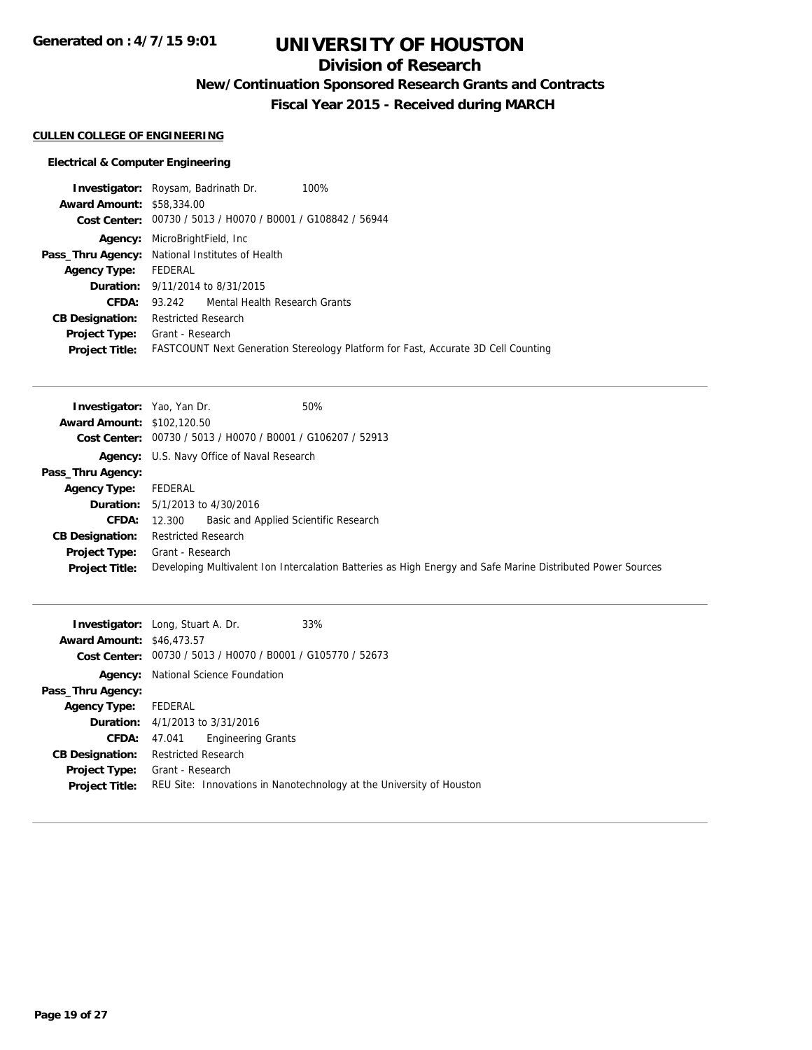## **Division of Research**

**New/Continuation Sponsored Research Grants and Contracts**

**Fiscal Year 2015 - Received during MARCH**

### **CULLEN COLLEGE OF ENGINEERING**

|                                  | <b>Investigator:</b> Roysam, Badrinath Dr.<br>100%                                       |
|----------------------------------|------------------------------------------------------------------------------------------|
| <b>Award Amount: \$58,334.00</b> |                                                                                          |
|                                  | Cost Center: 00730 / 5013 / H0070 / B0001 / G108842 / 56944                              |
|                                  | <b>Agency:</b> MicroBrightField, Inc.                                                    |
|                                  | Pass_Thru Agency: National Institutes of Health                                          |
| <b>Agency Type:</b>              | FEDERAL                                                                                  |
|                                  | <b>Duration:</b> 9/11/2014 to 8/31/2015                                                  |
| CFDA:                            | 93.242 Mental Health Research Grants                                                     |
| <b>CB Designation:</b>           | Restricted Research                                                                      |
| <b>Project Type:</b>             | Grant - Research                                                                         |
| <b>Project Title:</b>            | <b>FASTCOUNT Next Generation Stereology Platform for Fast, Accurate 3D Cell Counting</b> |

| <b>Investigator:</b> Yao, Yan Dr. | 50%                                                                                                         |
|-----------------------------------|-------------------------------------------------------------------------------------------------------------|
| <b>Award Amount: \$102,120.50</b> |                                                                                                             |
|                                   | Cost Center: 00730 / 5013 / H0070 / B0001 / G106207 / 52913                                                 |
|                                   | Agency: U.S. Navy Office of Naval Research                                                                  |
| Pass_Thru Agency:                 |                                                                                                             |
| <b>Agency Type:</b>               | FEDERAL                                                                                                     |
|                                   | <b>Duration:</b> $5/1/2013$ to $4/30/2016$                                                                  |
| <b>CFDA:</b>                      | Basic and Applied Scientific Research<br>12.300                                                             |
| <b>CB Designation:</b>            | <b>Restricted Research</b>                                                                                  |
|                                   | <b>Project Type:</b> Grant - Research                                                                       |
| <b>Project Title:</b>             | Developing Multivalent Ion Intercalation Batteries as High Energy and Safe Marine Distributed Power Sources |

| <b>Investigator:</b> Long, Stuart A. Dr.<br><b>Award Amount: \$46,473.57</b><br>Cost Center: |                            | 00730 / 5013 / H0070 / B0001 / G105770 / 52673 | 33%                                                                  |
|----------------------------------------------------------------------------------------------|----------------------------|------------------------------------------------|----------------------------------------------------------------------|
| Agency:                                                                                      |                            | National Science Foundation                    |                                                                      |
| Pass_Thru Agency:                                                                            |                            |                                                |                                                                      |
| <b>Agency Type:</b>                                                                          | FEDERAL                    |                                                |                                                                      |
|                                                                                              |                            | <b>Duration:</b> $4/1/2013$ to $3/31/2016$     |                                                                      |
| CFDA:                                                                                        | 47.041                     | <b>Engineering Grants</b>                      |                                                                      |
| <b>CB Designation:</b>                                                                       | <b>Restricted Research</b> |                                                |                                                                      |
| Project Type:                                                                                | Grant - Research           |                                                |                                                                      |
| <b>Project Title:</b>                                                                        |                            |                                                | REU Site: Innovations in Nanotechnology at the University of Houston |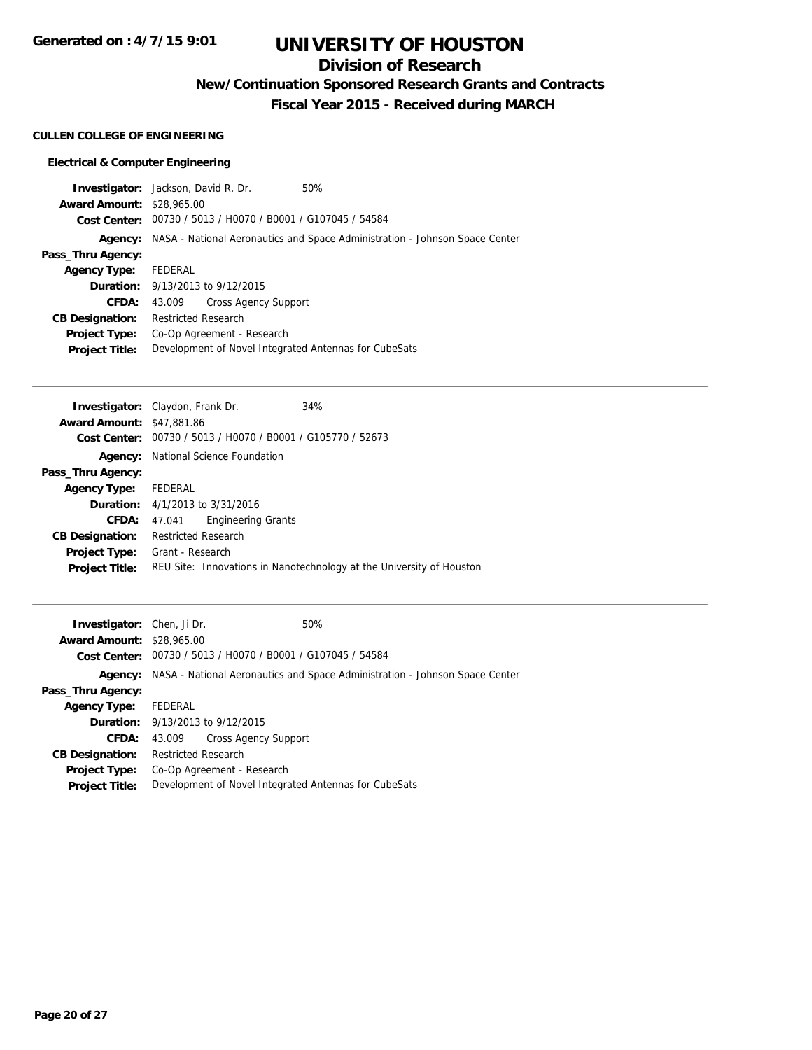**Generated on : 4/7/15 9:01**

# **UNIVERSITY OF HOUSTON**

## **Division of Research**

**New/Continuation Sponsored Research Grants and Contracts**

**Fiscal Year 2015 - Received during MARCH**

#### **CULLEN COLLEGE OF ENGINEERING**

| <b>Investigator:</b> Jackson, David R. Dr. |                            |                                                             | 50%                                                                         |
|--------------------------------------------|----------------------------|-------------------------------------------------------------|-----------------------------------------------------------------------------|
| <b>Award Amount: \$28,965.00</b>           |                            |                                                             |                                                                             |
|                                            |                            | Cost Center: 00730 / 5013 / H0070 / B0001 / G107045 / 54584 |                                                                             |
| Agency:                                    |                            |                                                             | NASA - National Aeronautics and Space Administration - Johnson Space Center |
| Pass_Thru Agency:                          |                            |                                                             |                                                                             |
| <b>Agency Type:</b>                        | FEDERAL                    |                                                             |                                                                             |
|                                            |                            | <b>Duration:</b> 9/13/2013 to 9/12/2015                     |                                                                             |
| CFDA:                                      | 43.009                     | <b>Cross Agency Support</b>                                 |                                                                             |
| <b>CB Designation:</b>                     | <b>Restricted Research</b> |                                                             |                                                                             |
| <b>Project Type:</b>                       |                            | Co-Op Agreement - Research                                  |                                                                             |
| <b>Project Title:</b>                      |                            |                                                             | Development of Novel Integrated Antennas for CubeSats                       |
|                                            |                            |                                                             |                                                                             |

| <b>Investigator:</b> Claydon, Frank Dr. |                            |                                                | 34%                                                                  |
|-----------------------------------------|----------------------------|------------------------------------------------|----------------------------------------------------------------------|
| <b>Award Amount: \$47,881.86</b>        |                            |                                                |                                                                      |
| Cost Center:                            |                            | 00730 / 5013 / H0070 / B0001 / G105770 / 52673 |                                                                      |
| Agency:                                 |                            | National Science Foundation                    |                                                                      |
| Pass_Thru Agency:                       |                            |                                                |                                                                      |
| <b>Agency Type:</b>                     | FEDERAL                    |                                                |                                                                      |
|                                         |                            | <b>Duration:</b> $4/1/2013$ to $3/31/2016$     |                                                                      |
| <b>CFDA:</b>                            | 47.041                     | <b>Engineering Grants</b>                      |                                                                      |
| <b>CB Designation:</b>                  | <b>Restricted Research</b> |                                                |                                                                      |
| <b>Project Type:</b>                    | Grant - Research           |                                                |                                                                      |
| <b>Project Title:</b>                   |                            |                                                | REU Site: Innovations in Nanotechnology at the University of Houston |
|                                         |                            |                                                |                                                                      |

| <b>Investigator:</b> Chen, Ji Dr. |                            |                                                             | 50%                                                                         |
|-----------------------------------|----------------------------|-------------------------------------------------------------|-----------------------------------------------------------------------------|
| <b>Award Amount: \$28,965.00</b>  |                            |                                                             |                                                                             |
|                                   |                            | Cost Center: 00730 / 5013 / H0070 / B0001 / G107045 / 54584 |                                                                             |
| Agency:                           |                            |                                                             | NASA - National Aeronautics and Space Administration - Johnson Space Center |
| Pass_Thru Agency:                 |                            |                                                             |                                                                             |
| <b>Agency Type:</b>               | FEDERAL                    |                                                             |                                                                             |
|                                   |                            | <b>Duration:</b> 9/13/2013 to 9/12/2015                     |                                                                             |
| CFDA:                             | 43.009                     | <b>Cross Agency Support</b>                                 |                                                                             |
| <b>CB Designation:</b>            | <b>Restricted Research</b> |                                                             |                                                                             |
| <b>Project Type:</b>              |                            | Co-Op Agreement - Research                                  |                                                                             |
| <b>Project Title:</b>             |                            |                                                             | Development of Novel Integrated Antennas for CubeSats                       |
|                                   |                            |                                                             |                                                                             |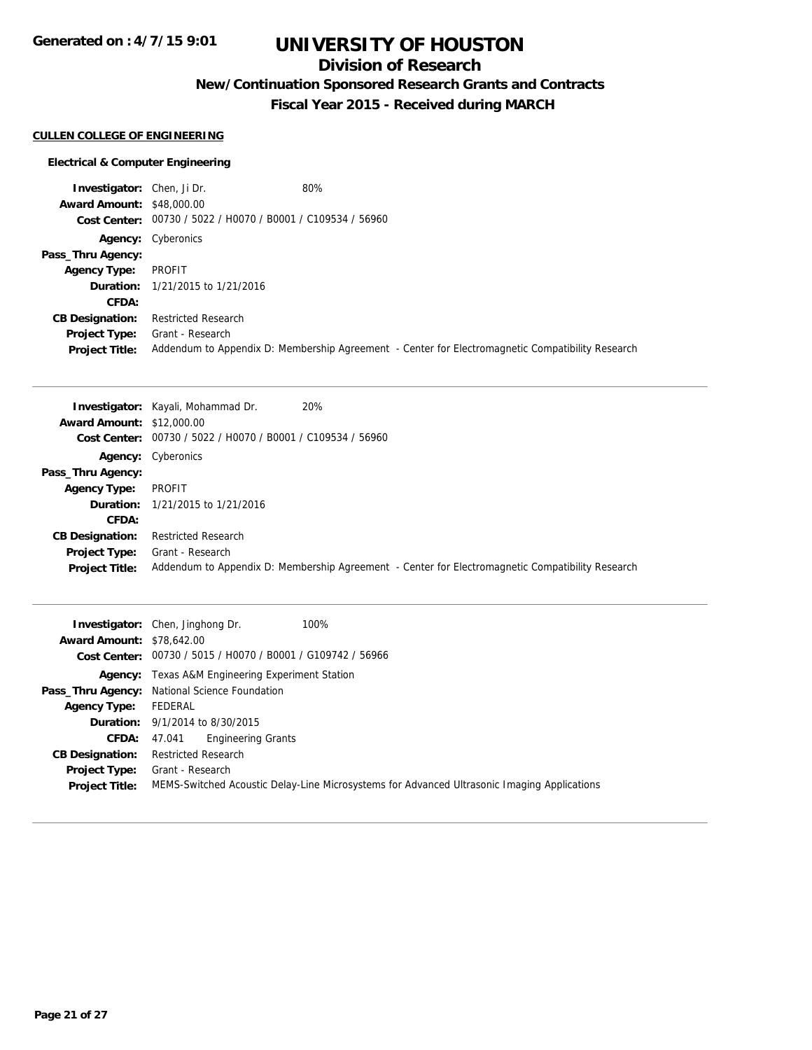**Generated on : 4/7/15 9:01**

# **UNIVERSITY OF HOUSTON**

## **Division of Research**

**New/Continuation Sponsored Research Grants and Contracts**

**Fiscal Year 2015 - Received during MARCH**

### **CULLEN COLLEGE OF ENGINEERING**

| <b>Investigator:</b> Chen, Ji Dr. |                                                             | 80%                                                                                              |
|-----------------------------------|-------------------------------------------------------------|--------------------------------------------------------------------------------------------------|
| <b>Award Amount: \$48,000.00</b>  |                                                             |                                                                                                  |
|                                   | Cost Center: 00730 / 5022 / H0070 / B0001 / C109534 / 56960 |                                                                                                  |
|                                   | <b>Agency:</b> Cyberonics                                   |                                                                                                  |
| Pass_Thru Agency:                 |                                                             |                                                                                                  |
| <b>Agency Type:</b>               | PROFIT                                                      |                                                                                                  |
|                                   | <b>Duration:</b> 1/21/2015 to 1/21/2016                     |                                                                                                  |
| CFDA:                             |                                                             |                                                                                                  |
| <b>CB Designation:</b>            | <b>Restricted Research</b>                                  |                                                                                                  |
| <b>Project Type:</b>              | Grant - Research                                            |                                                                                                  |
| <b>Project Title:</b>             |                                                             | Addendum to Appendix D: Membership Agreement - Center for Electromagnetic Compatibility Research |

|                                  | 20%<br><b>Investigator:</b> Kayali, Mohammad Dr.                                                 |
|----------------------------------|--------------------------------------------------------------------------------------------------|
| <b>Award Amount: \$12,000.00</b> |                                                                                                  |
|                                  | Cost Center: 00730 / 5022 / H0070 / B0001 / C109534 / 56960                                      |
|                                  | <b>Agency:</b> Cyberonics                                                                        |
| Pass_Thru Agency:                |                                                                                                  |
| <b>Agency Type:</b>              | PROFIT                                                                                           |
|                                  | <b>Duration:</b> 1/21/2015 to 1/21/2016                                                          |
| <b>CFDA:</b>                     |                                                                                                  |
| <b>CB Designation:</b>           | <b>Restricted Research</b>                                                                       |
| <b>Project Type:</b>             | Grant - Research                                                                                 |
| <b>Project Title:</b>            | Addendum to Appendix D: Membership Agreement - Center for Electromagnetic Compatibility Research |

| <b>Award Amount: \$78,642.00</b>              | 100%<br><b>Investigator:</b> Chen, Jinghong Dr.<br>Cost Center: 00730 / 5015 / H0070 / B0001 / G109742 / 56966  |
|-----------------------------------------------|-----------------------------------------------------------------------------------------------------------------|
|                                               | <b>Agency:</b> Texas A&M Engineering Experiment Station                                                         |
|                                               | Pass_Thru Agency: National Science Foundation                                                                   |
| <b>Agency Type:</b>                           | FEDERAL                                                                                                         |
|                                               | <b>Duration:</b> 9/1/2014 to 8/30/2015                                                                          |
| CFDA:                                         | <b>Engineering Grants</b><br>47.041                                                                             |
| <b>CB Designation:</b>                        | <b>Restricted Research</b>                                                                                      |
| <b>Project Type:</b><br><b>Project Title:</b> | Grant - Research<br>MEMS-Switched Acoustic Delay-Line Microsystems for Advanced Ultrasonic Imaging Applications |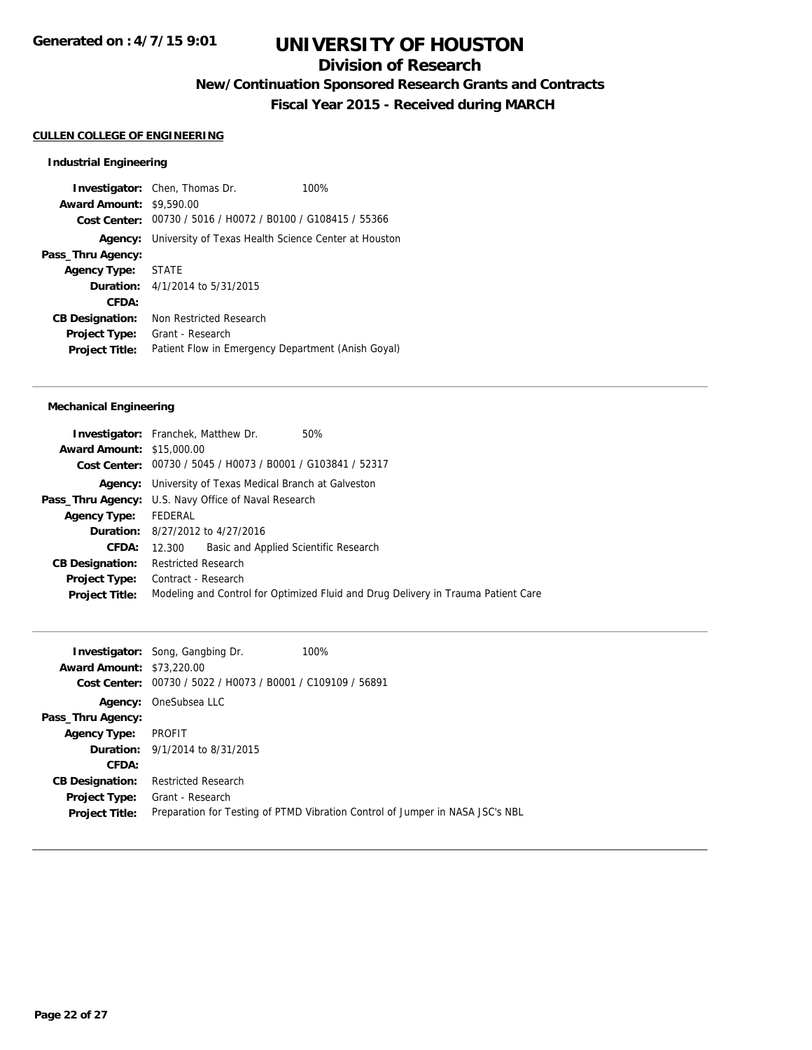## **Division of Research**

**New/Continuation Sponsored Research Grants and Contracts**

**Fiscal Year 2015 - Received during MARCH**

#### **CULLEN COLLEGE OF ENGINEERING**

#### **Industrial Engineering**

**Investigator:** Chen, Thomas Dr. 100% **Award Amount:** \$9,590.00 **Cost Center:** 00730 / 5016 / H0072 / B0100 / G108415 / 55366 **Agency:** University of Texas Health Science Center at Houston **Pass\_Thru Agency: Agency Type:** STATE **Duration:** 4/1/2014 to 5/31/2015 **CFDA: CB Designation:** Non Restricted Research **Project Type:** Grant - Research **Project Title:** Patient Flow in Emergency Department (Anish Goyal)

#### **Mechanical Engineering**

|                                  | <b>Investigator:</b> Franchek, Matthew Dr.                     | 50%                                                                               |
|----------------------------------|----------------------------------------------------------------|-----------------------------------------------------------------------------------|
| <b>Award Amount: \$15,000.00</b> |                                                                |                                                                                   |
|                                  | Cost Center: 00730 / 5045 / H0073 / B0001 / G103841 / 52317    |                                                                                   |
|                                  | <b>Agency:</b> University of Texas Medical Branch at Galveston |                                                                                   |
|                                  | Pass_Thru Agency: U.S. Navy Office of Naval Research           |                                                                                   |
| Agency Type: FEDERAL             |                                                                |                                                                                   |
|                                  | <b>Duration:</b> 8/27/2012 to 4/27/2016                        |                                                                                   |
| <b>CFDA:</b>                     | Basic and Applied Scientific Research<br>12.300                |                                                                                   |
| <b>CB Designation:</b>           | <b>Restricted Research</b>                                     |                                                                                   |
| <b>Project Type:</b>             | Contract - Research                                            |                                                                                   |
| <b>Project Title:</b>            |                                                                | Modeling and Control for Optimized Fluid and Drug Delivery in Trauma Patient Care |
|                                  |                                                                |                                                                                   |

| <b>Award Amount: \$73,220.00</b><br><b>Cost Center:</b> | <b>Investigator:</b> Song, Gangbing Dr.<br>00730 / 5022 / H0073 / B0001 / C109109 / 56891 | 100%                                                                          |
|---------------------------------------------------------|-------------------------------------------------------------------------------------------|-------------------------------------------------------------------------------|
|                                                         | <b>Agency:</b> OneSubsea LLC                                                              |                                                                               |
| Pass_Thru Agency:                                       |                                                                                           |                                                                               |
| <b>Agency Type:</b>                                     | PROFIT                                                                                    |                                                                               |
|                                                         | <b>Duration:</b> $9/1/2014$ to $8/31/2015$                                                |                                                                               |
| <b>CFDA:</b>                                            |                                                                                           |                                                                               |
| <b>CB Designation:</b>                                  | <b>Restricted Research</b>                                                                |                                                                               |
| <b>Project Type:</b>                                    | Grant - Research                                                                          |                                                                               |
| <b>Project Title:</b>                                   |                                                                                           | Preparation for Testing of PTMD Vibration Control of Jumper in NASA JSC's NBL |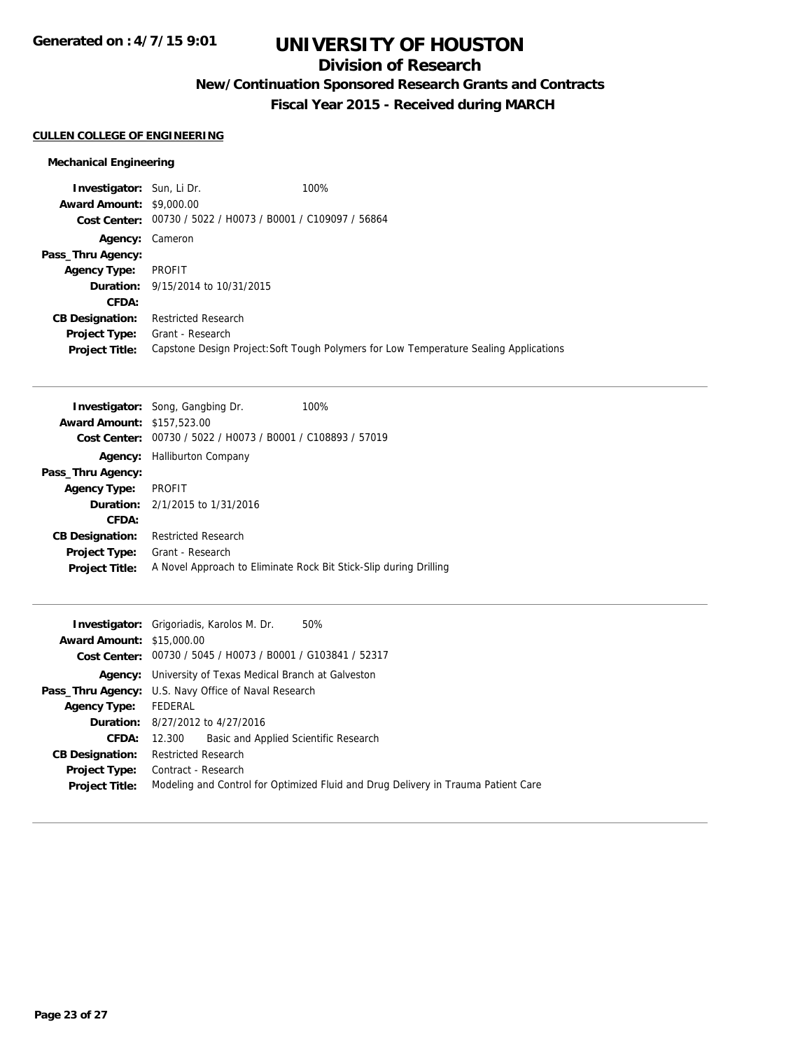## **Division of Research**

**New/Continuation Sponsored Research Grants and Contracts**

**Fiscal Year 2015 - Received during MARCH**

### **CULLEN COLLEGE OF ENGINEERING**

### **Mechanical Engineering**

| <b>Investigator:</b> Sun, Li Dr.<br><b>Award Amount: \$9,000.00</b> | Cost Center: 00730 / 5022 / H0073 / B0001 / C109097 / 56864 | 100%                                                                                  |
|---------------------------------------------------------------------|-------------------------------------------------------------|---------------------------------------------------------------------------------------|
| Agency: Cameron                                                     |                                                             |                                                                                       |
| Pass_Thru Agency:                                                   |                                                             |                                                                                       |
| <b>Agency Type:</b>                                                 | PROFIT                                                      |                                                                                       |
|                                                                     | <b>Duration:</b> 9/15/2014 to 10/31/2015                    |                                                                                       |
| CFDA:                                                               |                                                             |                                                                                       |
| <b>CB Designation:</b>                                              | <b>Restricted Research</b>                                  |                                                                                       |
| <b>Project Type:</b><br><b>Project Title:</b>                       | Grant - Research                                            | Capstone Design Project: Soft Tough Polymers for Low Temperature Sealing Applications |

|                                   | <b>Investigator:</b> Song, Gangbing Dr.        | 100%                                                              |
|-----------------------------------|------------------------------------------------|-------------------------------------------------------------------|
| <b>Award Amount: \$157,523.00</b> |                                                |                                                                   |
| Cost Center:                      | 00730 / 5022 / H0073 / B0001 / C108893 / 57019 |                                                                   |
| Agency:                           | <b>Halliburton Company</b>                     |                                                                   |
| Pass_Thru Agency:                 |                                                |                                                                   |
| <b>Agency Type:</b>               | <b>PROFIT</b>                                  |                                                                   |
|                                   | <b>Duration:</b> $2/1/2015$ to $1/31/2016$     |                                                                   |
| CFDA:                             |                                                |                                                                   |
| <b>CB Designation:</b>            | <b>Restricted Research</b>                     |                                                                   |
| <b>Project Type:</b>              | Grant - Research                               |                                                                   |
| <b>Project Title:</b>             |                                                | A Novel Approach to Eliminate Rock Bit Stick-Slip during Drilling |

|                                  | 50%<br><b>Investigator:</b> Grigoriadis, Karolos M. Dr.                           |
|----------------------------------|-----------------------------------------------------------------------------------|
| <b>Award Amount: \$15,000.00</b> |                                                                                   |
|                                  | Cost Center: 00730 / 5045 / H0073 / B0001 / G103841 / 52317                       |
|                                  | <b>Agency:</b> University of Texas Medical Branch at Galveston                    |
|                                  | <b>Pass_Thru Agency:</b> U.S. Navy Office of Naval Research                       |
| Agency Type: FEDERAL             |                                                                                   |
|                                  | <b>Duration:</b> 8/27/2012 to 4/27/2016                                           |
| <b>CFDA:</b>                     | Basic and Applied Scientific Research<br>12.300                                   |
| <b>CB Designation:</b>           | Restricted Research                                                               |
|                                  | <b>Project Type:</b> Contract - Research                                          |
| <b>Project Title:</b>            | Modeling and Control for Optimized Fluid and Drug Delivery in Trauma Patient Care |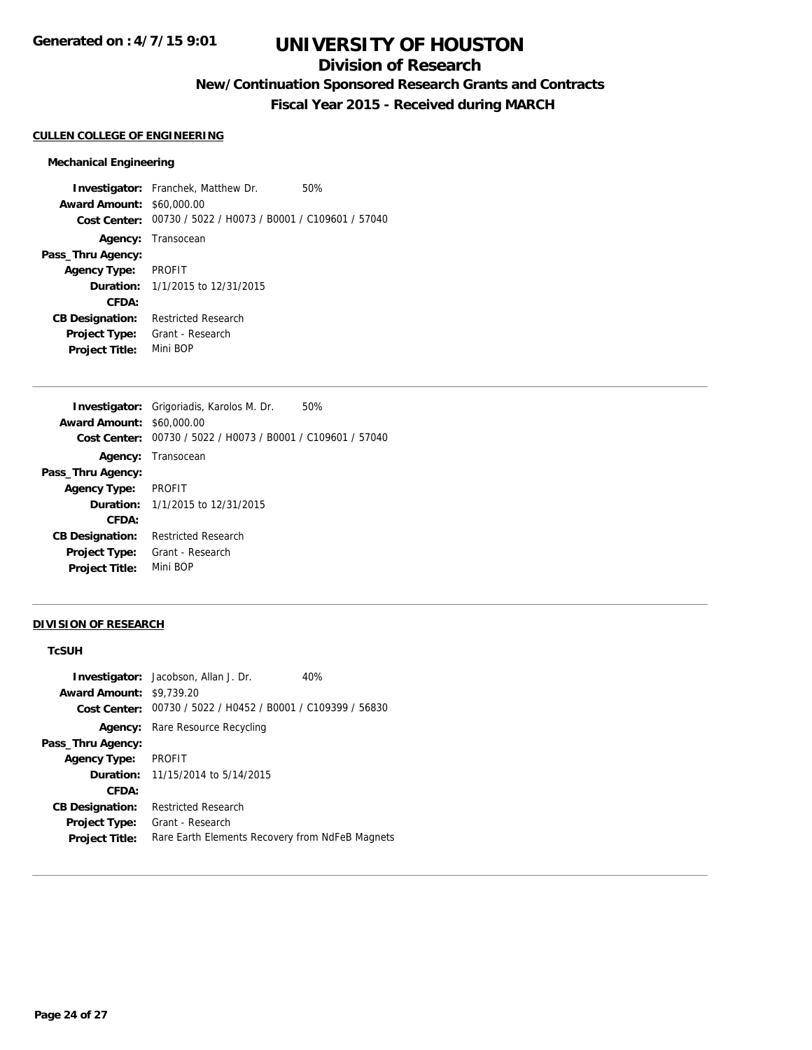## **Division of Research**

**New/Continuation Sponsored Research Grants and Contracts**

**Fiscal Year 2015 - Received during MARCH**

#### **CULLEN COLLEGE OF ENGINEERING**

#### **Mechanical Engineering**

**Investigator:** Franchek, Matthew Dr. 50% **Award Amount:** \$60,000.00 **Cost Center:** 00730 / 5022 / H0073 / B0001 / C109601 / 57040 **Agency:** Transocean **Pass\_Thru Agency: Agency Type:** PROFIT **Duration:** 1/1/2015 to 12/31/2015 **CFDA: CB Designation:** Restricted Research **Project Type:** Grant - Research **Project Title:** Mini BOP

|                                  | <b>Investigator:</b> Grigoriadis, Karolos M. Dr.<br>50% |
|----------------------------------|---------------------------------------------------------|
| <b>Award Amount: \$60,000.00</b> |                                                         |
| <b>Cost Center:</b>              | 00730 / 5022 / H0073 / B0001 / C109601 / 57040          |
|                                  | Agency: Transocean                                      |
| Pass_Thru Agency:                |                                                         |
| <b>Agency Type:</b>              | PROFIT                                                  |
|                                  | <b>Duration:</b> 1/1/2015 to 12/31/2015                 |
| CFDA:                            |                                                         |
| <b>CB Designation:</b>           | <b>Restricted Research</b>                              |
| <b>Project Type:</b>             | Grant - Research                                        |
| <b>Project Title:</b>            | Mini BOP                                                |

#### **DIVISION OF RESEARCH**

#### **TcSUH**

|                        | <b>Investigator:</b> Jacobson, Allan J. Dr.                 | 40% |
|------------------------|-------------------------------------------------------------|-----|
| <b>Award Amount:</b>   | \$9,739.20                                                  |     |
|                        | Cost Center: 00730 / 5022 / H0452 / B0001 / C109399 / 56830 |     |
|                        | <b>Agency:</b> Rare Resource Recycling                      |     |
| Pass_Thru Agency:      |                                                             |     |
| <b>Agency Type:</b>    | <b>PROFIT</b>                                               |     |
|                        | <b>Duration:</b> $11/15/2014$ to $5/14/2015$                |     |
| CFDA:                  |                                                             |     |
| <b>CB Designation:</b> | <b>Restricted Research</b>                                  |     |
| <b>Project Type:</b>   | Grant - Research                                            |     |
| <b>Project Title:</b>  | Rare Earth Elements Recovery from NdFeB Magnets             |     |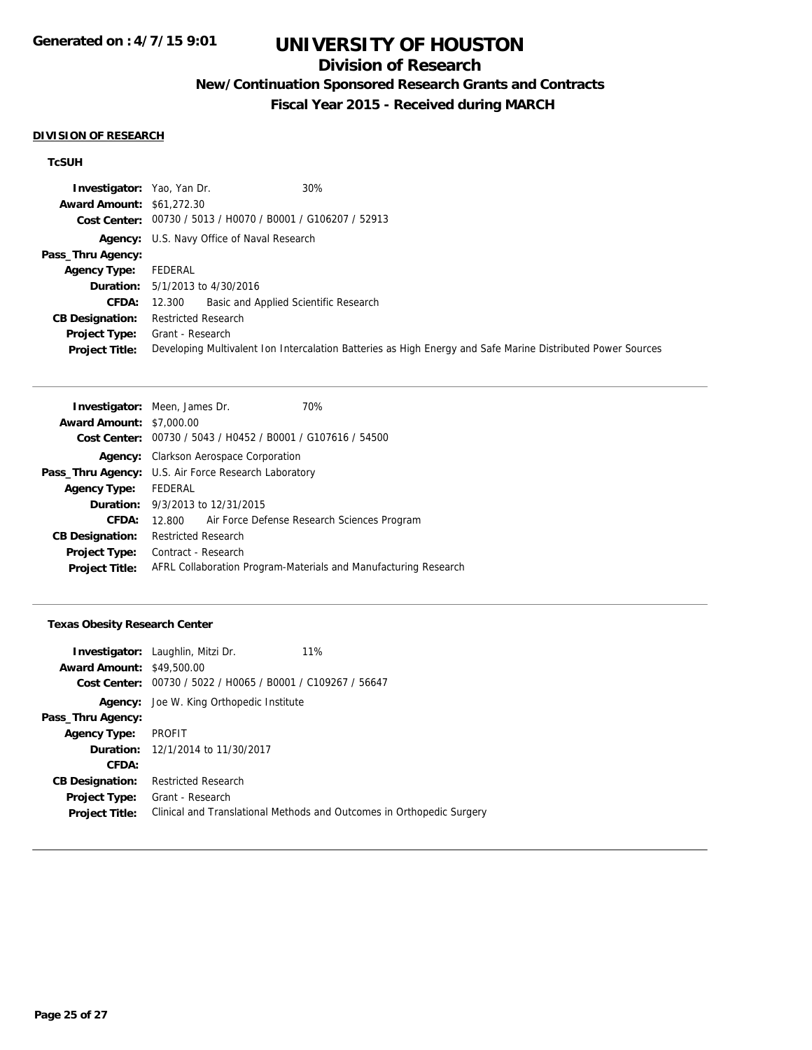## **Division of Research**

**New/Continuation Sponsored Research Grants and Contracts**

**Fiscal Year 2015 - Received during MARCH**

#### **DIVISION OF RESEARCH**

## **TcSUH**

| <b>Investigator:</b> Yao, Yan Dr. | 30%                                                                                                         |
|-----------------------------------|-------------------------------------------------------------------------------------------------------------|
| <b>Award Amount: \$61,272.30</b>  |                                                                                                             |
|                                   | Cost Center: 00730 / 5013 / H0070 / B0001 / G106207 / 52913                                                 |
|                                   | Agency: U.S. Navy Office of Naval Research                                                                  |
| Pass_Thru Agency:                 |                                                                                                             |
| <b>Agency Type:</b>               | FEDERAL                                                                                                     |
|                                   | <b>Duration:</b> 5/1/2013 to 4/30/2016                                                                      |
|                                   | Basic and Applied Scientific Research<br><b>CFDA:</b> 12.300                                                |
| <b>CB Designation:</b>            | <b>Restricted Research</b>                                                                                  |
| Project Type:                     | Grant - Research                                                                                            |
| <b>Project Title:</b>             | Developing Multivalent Ion Intercalation Batteries as High Energy and Safe Marine Distributed Power Sources |

|                                 | <b>Investigator:</b> Meen, James Dr.                            | 70%                                         |  |
|---------------------------------|-----------------------------------------------------------------|---------------------------------------------|--|
| <b>Award Amount: \$7,000.00</b> |                                                                 |                                             |  |
|                                 | Cost Center: 00730 / 5043 / H0452 / B0001 / G107616 / 54500     |                                             |  |
| Agency:                         | Clarkson Aerospace Corporation                                  |                                             |  |
|                                 | <b>Pass_Thru Agency:</b> U.S. Air Force Research Laboratory     |                                             |  |
| <b>Agency Type:</b>             | FEDERAL                                                         |                                             |  |
|                                 | <b>Duration:</b> 9/3/2013 to 12/31/2015                         |                                             |  |
| CFDA:                           | 12.800                                                          | Air Force Defense Research Sciences Program |  |
| <b>CB Designation:</b>          | <b>Restricted Research</b>                                      |                                             |  |
| <b>Project Type:</b>            | Contract - Research                                             |                                             |  |
| <b>Project Title:</b>           | AFRL Collaboration Program-Materials and Manufacturing Research |                                             |  |

### **Texas Obesity Research Center**

|                                  | <b>Investigator:</b> Laughlin, Mitzi Dr.                    | 11%                                                                   |
|----------------------------------|-------------------------------------------------------------|-----------------------------------------------------------------------|
| <b>Award Amount: \$49,500.00</b> |                                                             |                                                                       |
|                                  | Cost Center: 00730 / 5022 / H0065 / B0001 / C109267 / 56647 |                                                                       |
|                                  | Agency: Joe W. King Orthopedic Institute                    |                                                                       |
| Pass_Thru Agency:                |                                                             |                                                                       |
| <b>Agency Type:</b>              | PROFIT                                                      |                                                                       |
|                                  | <b>Duration:</b> 12/1/2014 to 11/30/2017                    |                                                                       |
| CFDA:                            |                                                             |                                                                       |
| <b>CB Designation:</b>           | <b>Restricted Research</b>                                  |                                                                       |
| <b>Project Type:</b>             | Grant - Research                                            |                                                                       |
| <b>Project Title:</b>            |                                                             | Clinical and Translational Methods and Outcomes in Orthopedic Surgery |
|                                  |                                                             |                                                                       |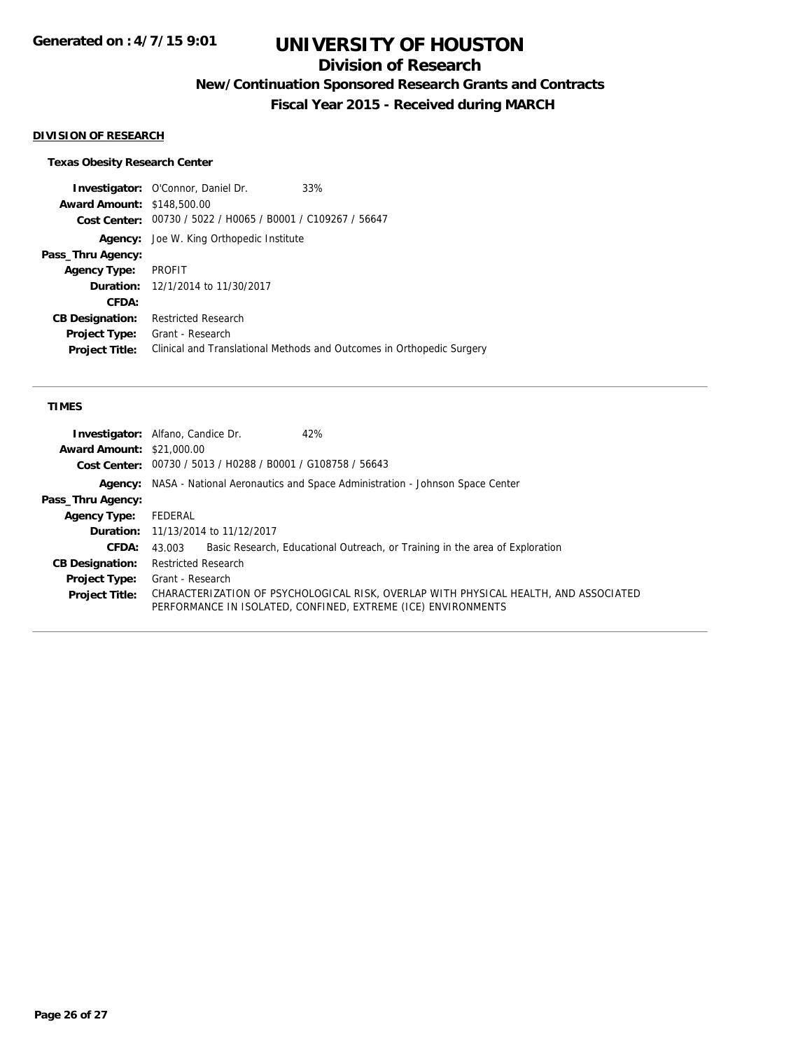## **Division of Research**

**New/Continuation Sponsored Research Grants and Contracts**

**Fiscal Year 2015 - Received during MARCH**

#### **DIVISION OF RESEARCH**

#### **Texas Obesity Research Center**

**Investigator:** O'Connor, Daniel Dr. 33% **Award Amount:** \$148,500.00 **Cost Center:** 00730 / 5022 / H0065 / B0001 / C109267 / 56647 **Agency:** Joe W. King Orthopedic Institute **Pass\_Thru Agency: Agency Type:** PROFIT **Duration:** 12/1/2014 to 11/30/2017 **CFDA: CB Designation:** Restricted Research **Project Type:** Grant - Research **Project Title:** Clinical and Translational Methods and Outcomes in Orthopedic Surgery

#### **TIMES**

| <b>Investigator:</b> Alfano, Candice Dr.<br>42%                                                                                                       |
|-------------------------------------------------------------------------------------------------------------------------------------------------------|
| <b>Award Amount: \$21,000.00</b>                                                                                                                      |
| Cost Center: 00730 / 5013 / H0288 / B0001 / G108758 / 56643                                                                                           |
| <b>Agency:</b> NASA - National Aeronautics and Space Administration - Johnson Space Center                                                            |
|                                                                                                                                                       |
| FEDERAL                                                                                                                                               |
| <b>Duration:</b> 11/13/2014 to 11/12/2017                                                                                                             |
| Basic Research, Educational Outreach, or Training in the area of Exploration<br>43.003                                                                |
| <b>Restricted Research</b>                                                                                                                            |
| Grant - Research                                                                                                                                      |
| CHARACTERIZATION OF PSYCHOLOGICAL RISK, OVERLAP WITH PHYSICAL HEALTH, AND ASSOCIATED<br>PERFORMANCE IN ISOLATED, CONFINED, EXTREME (ICE) ENVIRONMENTS |
|                                                                                                                                                       |